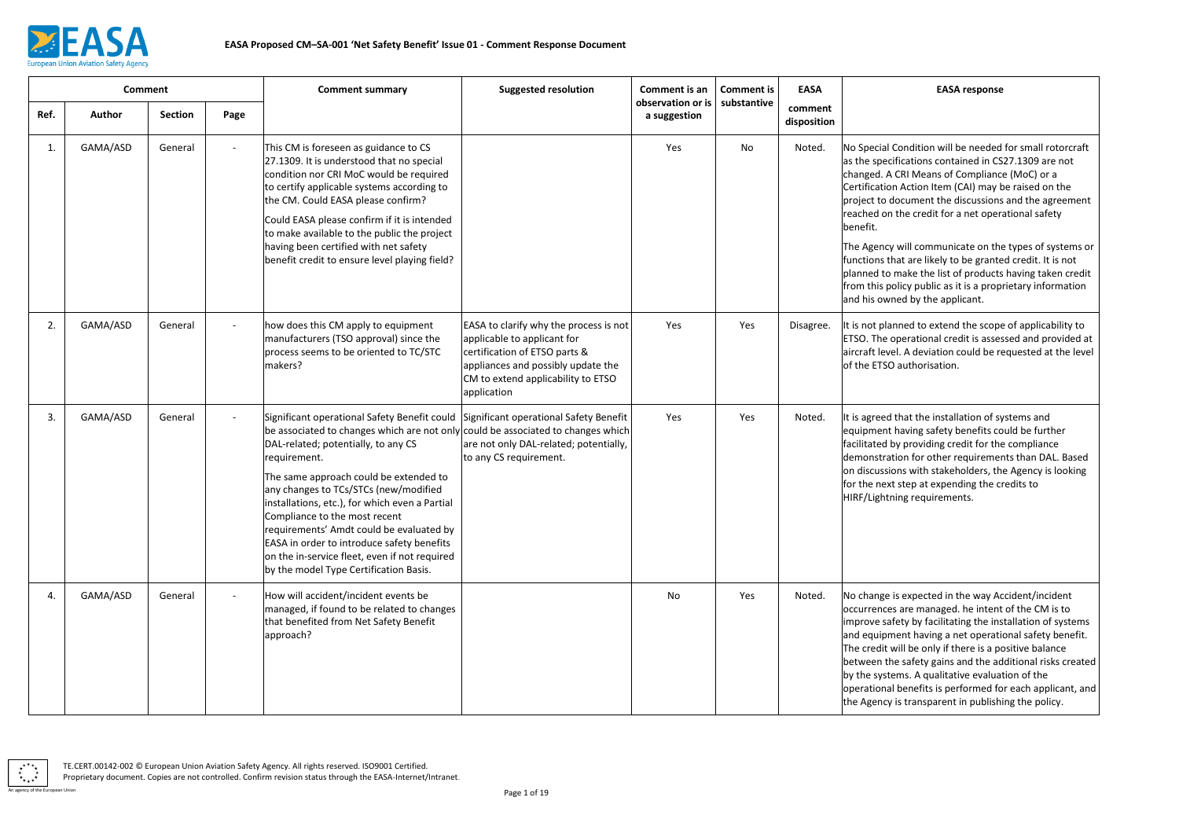

## **EASA response**

Condition will be needed for small rotorcraft ifications contained in CS27.1309 are not CRI Means of Compliance (MoC) or a In Action Item (CAI) may be raised on the document the discussions and the agreement the credit for a net operational safety

will communicate on the types of systems or hat are likely to be granted credit. It is not make the list of products having taken credit olicy public as it is a proprietary information ned by the applicant.

inned to extend the scope of applicability to operational credit is assessed and provided at el. A deviation could be requested at the level authorisation.

It hat the installation of systems and having safety benefits could be further by providing credit for the compliance tion for other requirements than DAL. Based ons with stakeholders, the Agency is looking for step at expending the credits to hing requirements.

is expected in the way Accident/incident es are managed. he intent of the CM is to fety by facilitating the installation of systems nent having a net operational safety benefit. will be only if there is a positive balance ne safety gains and the additional risks created  $|$ ems. A qualitative evaluation of the benefits is performed for each applicant, and is transparent in publishing the policy.

|      | <b>Comment</b> |                |      | <b>Comment summary</b>                                                                                                                                                                                                                                                                                                                                                                                                                                                                                                                             | <b>Suggested resolution</b>                                                                                                                                                                       | Comment is an<br>observation or is | <b>Comment is</b> | <b>EASA</b>            |                                                                                                                                                                                |
|------|----------------|----------------|------|----------------------------------------------------------------------------------------------------------------------------------------------------------------------------------------------------------------------------------------------------------------------------------------------------------------------------------------------------------------------------------------------------------------------------------------------------------------------------------------------------------------------------------------------------|---------------------------------------------------------------------------------------------------------------------------------------------------------------------------------------------------|------------------------------------|-------------------|------------------------|--------------------------------------------------------------------------------------------------------------------------------------------------------------------------------|
| Ref. | Author         | <b>Section</b> | Page |                                                                                                                                                                                                                                                                                                                                                                                                                                                                                                                                                    |                                                                                                                                                                                                   | a suggestion                       | substantive       | comment<br>disposition |                                                                                                                                                                                |
| 1.   | GAMA/ASD       | General        |      | This CM is foreseen as guidance to CS<br>27.1309. It is understood that no special<br>condition nor CRI MoC would be required<br>to certify applicable systems according to<br>the CM. Could EASA please confirm?<br>Could EASA please confirm if it is intended<br>to make available to the public the project<br>having been certified with net safety<br>benefit credit to ensure level playing field?                                                                                                                                          |                                                                                                                                                                                                   | Yes                                | No                | Noted.                 | No Special<br>as the speci<br>changed. A<br>Certification<br>project to d<br>reached on<br>benefit.<br>The Agency<br>functions th<br>planned to<br>from this po<br>and his owr |
| 2.   | GAMA/ASD       | General        |      | how does this CM apply to equipment<br>manufacturers (TSO approval) since the<br>process seems to be oriented to TC/STC<br>makers?                                                                                                                                                                                                                                                                                                                                                                                                                 | EASA to clarify why the process is not<br>applicable to applicant for<br>certification of ETSO parts &<br>appliances and possibly update the<br>CM to extend applicability to ETSO<br>application | Yes                                | Yes               | Disagree.              | It is not plar<br><b>ETSO.</b> The c<br>aircraft leve<br>of the ETSO                                                                                                           |
| 3.   | GAMA/ASD       | General        |      | Significant operational Safety Benefit could<br>be associated to changes which are not only could be associated to changes which<br>DAL-related; potentially, to any CS<br>requirement.<br>The same approach could be extended to<br>any changes to TCs/STCs (new/modified<br>installations, etc.), for which even a Partial<br>Compliance to the most recent<br>requirements' Amdt could be evaluated by<br>EASA in order to introduce safety benefits<br>on the in-service fleet, even if not required<br>by the model Type Certification Basis. | Significant operational Safety Benefit<br>are not only DAL-related; potentially,<br>to any CS requirement.                                                                                        | Yes                                | Yes               | Noted.                 | It is agreed<br>equipment<br>facilitated b<br>demonstrat<br>on discussio<br>for the next<br>HIRF/Lightn                                                                        |
| 4.   | GAMA/ASD       | General        |      | How will accident/incident events be<br>managed, if found to be related to changes<br>that benefited from Net Safety Benefit<br>approach?                                                                                                                                                                                                                                                                                                                                                                                                          |                                                                                                                                                                                                   | No                                 | Yes               | Noted.                 | No change<br>occurrence:<br>improve sat<br>and equipm<br>The credit v<br>between th<br>by the syste<br>operational<br>the Agency                                               |

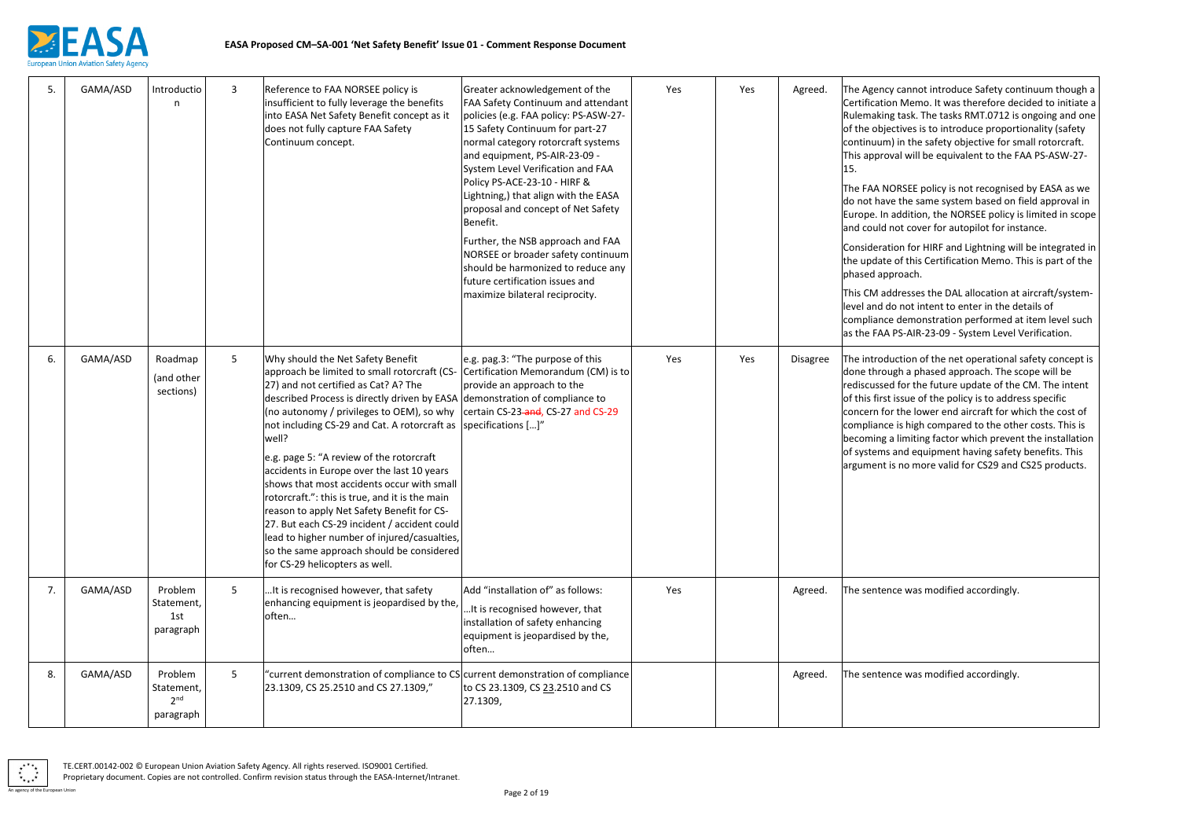

y cannot introduce Safety continuum though a on Memo. It was therefore decided to initiate a g task. The tasks RMT.0712 is ongoing and one ectives is to introduce proportionality (safety I) in the safety objective for small rotorcraft. val will be equivalent to the FAA PS-ASW-27-

ORSEE policy is not recognised by EASA as we e the same system based on field approval in addition, the NORSEE policy is limited in scope not cover for autopilot for instance.

ion for HIRF and Lightning will be integrated in of this Certification Memo. This is part of the proach.

Idresses the DAL allocation at aircraft/systemlo not intent to enter in the details of e demonstration performed at item level such PS-AIR-23-09 - System Level Verification.

uction of the net operational safety concept is agh a phased approach. The scope will be d for the future update of the CM. The intent issue of the policy is to address specific r the lower end aircraft for which the cost of e is high compared to the other costs. This is a limiting factor which prevent the installation and equipment having safety benefits. This is no more valid for CS29 and CS25 products.

Ice was modified accordingly.

Ice was modified accordingly.

| 5. | GAMA/ASD | Introductio<br>n                                      | $\mathbf{3}$ | Reference to FAA NORSEE policy is<br>insufficient to fully leverage the benefits<br>into EASA Net Safety Benefit concept as it<br>does not fully capture FAA Safety<br>Continuum concept.                                                                                                                                                                                                                                                                                                                                                                                                                                                                                                                                             | Greater acknowledgement of the<br><b>FAA Safety Continuum and attendant</b><br>policies (e.g. FAA policy: PS-ASW-27-<br>15 Safety Continuum for part-27<br>normal category rotorcraft systems<br>and equipment, PS-AIR-23-09 -<br>System Level Verification and FAA<br>Policy PS-ACE-23-10 - HIRF &<br>Lightning,) that align with the EASA<br>proposal and concept of Net Safety<br>Benefit.<br>Further, the NSB approach and FAA<br>NORSEE or broader safety continuum<br>should be harmonized to reduce any<br>future certification issues and<br>maximize bilateral reciprocity. | Yes | Yes | Agreed.         | The Agency<br>Certificatio<br>Rulemaking<br>of the obje<br>continuum<br>This approv<br>15.<br>The FAA NO<br>do not have<br>Europe. In<br>and could r<br>Considerati<br>the update<br>phased app<br>This CM ad<br>level and d<br>compliance<br>as the FAA |
|----|----------|-------------------------------------------------------|--------------|---------------------------------------------------------------------------------------------------------------------------------------------------------------------------------------------------------------------------------------------------------------------------------------------------------------------------------------------------------------------------------------------------------------------------------------------------------------------------------------------------------------------------------------------------------------------------------------------------------------------------------------------------------------------------------------------------------------------------------------|--------------------------------------------------------------------------------------------------------------------------------------------------------------------------------------------------------------------------------------------------------------------------------------------------------------------------------------------------------------------------------------------------------------------------------------------------------------------------------------------------------------------------------------------------------------------------------------|-----|-----|-----------------|----------------------------------------------------------------------------------------------------------------------------------------------------------------------------------------------------------------------------------------------------------|
| 6. | GAMA/ASD | Roadmap<br>(and other<br>sections)                    | 5            | Why should the Net Safety Benefit<br>approach be limited to small rotorcraft (CS-<br>27) and not certified as Cat? A? The<br>described Process is directly driven by EASA demonstration of compliance to<br>(no autonomy / privileges to OEM), so why<br>not including CS-29 and Cat. A rotorcraft as<br>well?<br>e.g. page 5: "A review of the rotorcraft<br>accidents in Europe over the last 10 years<br>shows that most accidents occur with small<br>rotorcraft.": this is true, and it is the main<br>reason to apply Net Safety Benefit for CS-<br>27. But each CS-29 incident / accident could<br>lead to higher number of injured/casualties,<br>so the same approach should be considered<br>for CS-29 helicopters as well. | e.g. pag.3: "The purpose of this<br>Certification Memorandum (CM) is to<br>provide an approach to the<br>certain CS-23-and, CS-27 and CS-29<br>specifications []"                                                                                                                                                                                                                                                                                                                                                                                                                    | Yes | Yes | <b>Disagree</b> | The introdu<br>done throu<br>rediscussed<br>of this first<br>concern for<br>compliance<br>becoming a<br>of systems<br>argument i                                                                                                                         |
| 7. | GAMA/ASD | Problem<br>Statement,<br>1st<br>paragraph             | 5            | It is recognised however, that safety<br>enhancing equipment is jeopardised by the,<br>often                                                                                                                                                                                                                                                                                                                                                                                                                                                                                                                                                                                                                                          | Add "installation of" as follows:<br>It is recognised however, that<br>installation of safety enhancing<br>equipment is jeopardised by the,<br>often                                                                                                                                                                                                                                                                                                                                                                                                                                 | Yes |     | Agreed.         | The senten                                                                                                                                                                                                                                               |
| 8. | GAMA/ASD | Problem<br>Statement,<br>2 <sup>nd</sup><br>paragraph | 5            | "current demonstration of compliance to CS current demonstration of compliance<br>23.1309, CS 25.2510 and CS 27.1309,"                                                                                                                                                                                                                                                                                                                                                                                                                                                                                                                                                                                                                | to CS 23.1309, CS 23.2510 and CS<br>27.1309,                                                                                                                                                                                                                                                                                                                                                                                                                                                                                                                                         |     |     | Agreed.         | The senten                                                                                                                                                                                                                                               |

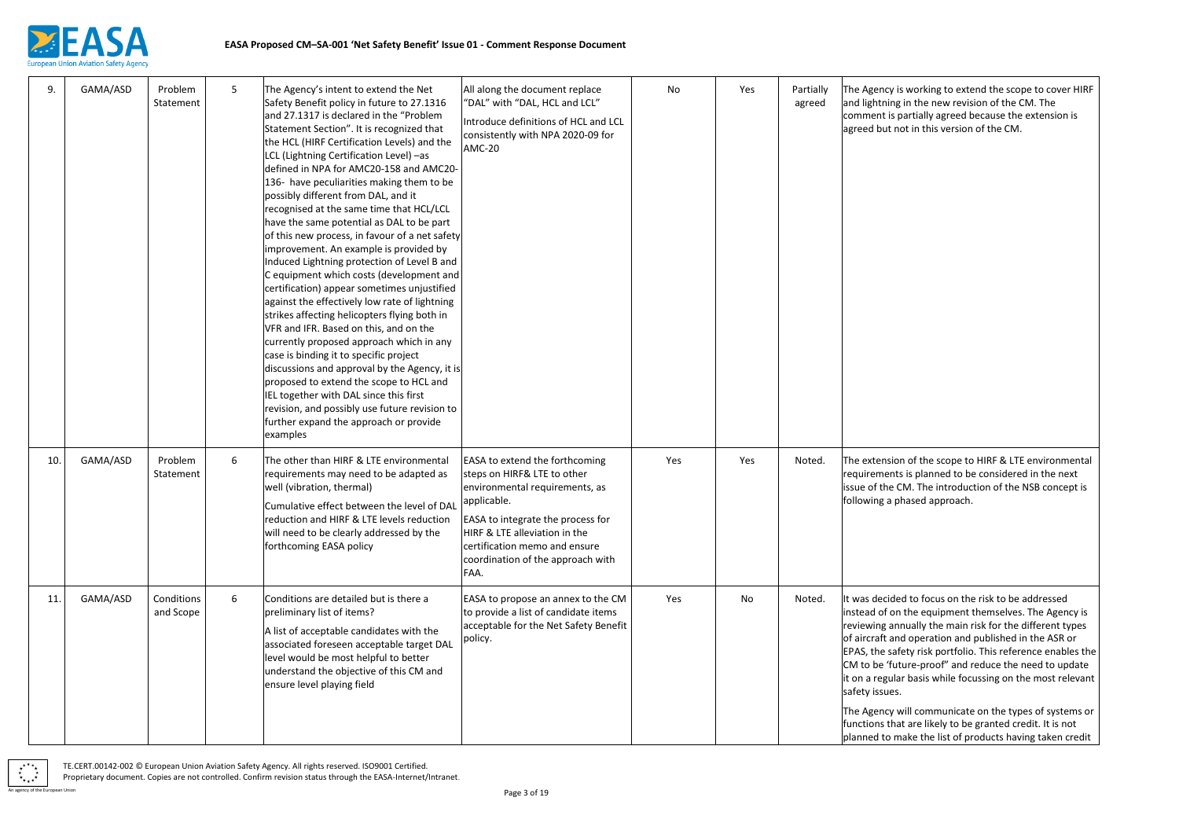

cy is working to extend the scope to cover HIRF ing in the new revision of the CM. The is partially agreed because the extension is t not in this version of the CM.

sion of the scope to HIRF & LTE environmental ents is planned to be considered in the next ie CM. The introduction of the NSB concept is a phased approach.

ided to focus on the risk to be addressed f on the equipment themselves. The Agency is annually the main risk for the different types and operation and published in the ASR or safety risk portfolio. This reference enables the  $|$ future-proof" and reduce the need to update jular basis while focussing on the most relevant ies.

| 9.  | GAMA/ASD | Problem<br>Statement    | 5 | The Agency's intent to extend the Net<br>Safety Benefit policy in future to 27.1316<br>and 27.1317 is declared in the "Problem<br>Statement Section". It is recognized that<br>the HCL (HIRF Certification Levels) and the<br>LCL (Lightning Certification Level) -as<br>defined in NPA for AMC20-158 and AMC20-<br>136- have peculiarities making them to be<br>possibly different from DAL, and it<br>recognised at the same time that HCL/LCL<br>have the same potential as DAL to be part<br>of this new process, in favour of a net safety<br>improvement. An example is provided by<br>Induced Lightning protection of Level B and<br>C equipment which costs (development and<br>certification) appear sometimes unjustified<br>against the effectively low rate of lightning<br>strikes affecting helicopters flying both in<br>VFR and IFR. Based on this, and on the<br>currently proposed approach which in any<br>case is binding it to specific project<br>discussions and approval by the Agency, it is<br>proposed to extend the scope to HCL and<br>IEL together with DAL since this first<br>revision, and possibly use future revision to<br>further expand the approach or provide | All along the document replace<br>"DAL" with "DAL, HCL and LCL"<br>Introduce definitions of HCL and LCL<br>consistently with NPA 2020-09 for<br>AMC-20                                                                                                                    | No  | Yes | Partially<br>agreed | The Agenc<br>and lightni<br>comment i<br>agreed but                                                                                                          |
|-----|----------|-------------------------|---|-------------------------------------------------------------------------------------------------------------------------------------------------------------------------------------------------------------------------------------------------------------------------------------------------------------------------------------------------------------------------------------------------------------------------------------------------------------------------------------------------------------------------------------------------------------------------------------------------------------------------------------------------------------------------------------------------------------------------------------------------------------------------------------------------------------------------------------------------------------------------------------------------------------------------------------------------------------------------------------------------------------------------------------------------------------------------------------------------------------------------------------------------------------------------------------------------------|---------------------------------------------------------------------------------------------------------------------------------------------------------------------------------------------------------------------------------------------------------------------------|-----|-----|---------------------|--------------------------------------------------------------------------------------------------------------------------------------------------------------|
| 10. | GAMA/ASD | Problem<br>Statement    | 6 | examples<br>The other than HIRF & LTE environmental<br>requirements may need to be adapted as<br>well (vibration, thermal)<br>Cumulative effect between the level of DAL<br>reduction and HIRF & LTE levels reduction<br>will need to be clearly addressed by the<br>forthcoming EASA policy                                                                                                                                                                                                                                                                                                                                                                                                                                                                                                                                                                                                                                                                                                                                                                                                                                                                                                          | <b>EASA to extend the forthcoming</b><br>steps on HIRF& LTE to other<br>environmental requirements, as<br>applicable.<br>EASA to integrate the process for<br>HIRF & LTE alleviation in the<br>certification memo and ensure<br>coordination of the approach with<br>FAA. | Yes | Yes | Noted.              | The extens<br>requireme<br>issue of the<br>following a                                                                                                       |
| 11. | GAMA/ASD | Conditions<br>and Scope | 6 | Conditions are detailed but is there a<br>preliminary list of items?<br>A list of acceptable candidates with the<br>associated foreseen acceptable target DAL<br>level would be most helpful to better<br>understand the objective of this CM and<br>ensure level playing field                                                                                                                                                                                                                                                                                                                                                                                                                                                                                                                                                                                                                                                                                                                                                                                                                                                                                                                       | EASA to propose an annex to the CM<br>to provide a list of candidate items<br>acceptable for the Net Safety Benefit<br>policy.                                                                                                                                            | Yes | No  | Noted.              | It was deci<br>instead of<br>reviewing<br>of aircraft<br>EPAS, the s<br>CM to be 'i<br>it on a regu<br>safety issu<br>The Agenc<br>functions t<br>planned to |



cy will communicate on the types of systems or that are likely to be granted credit. It is not planned to make the list of products having taken credit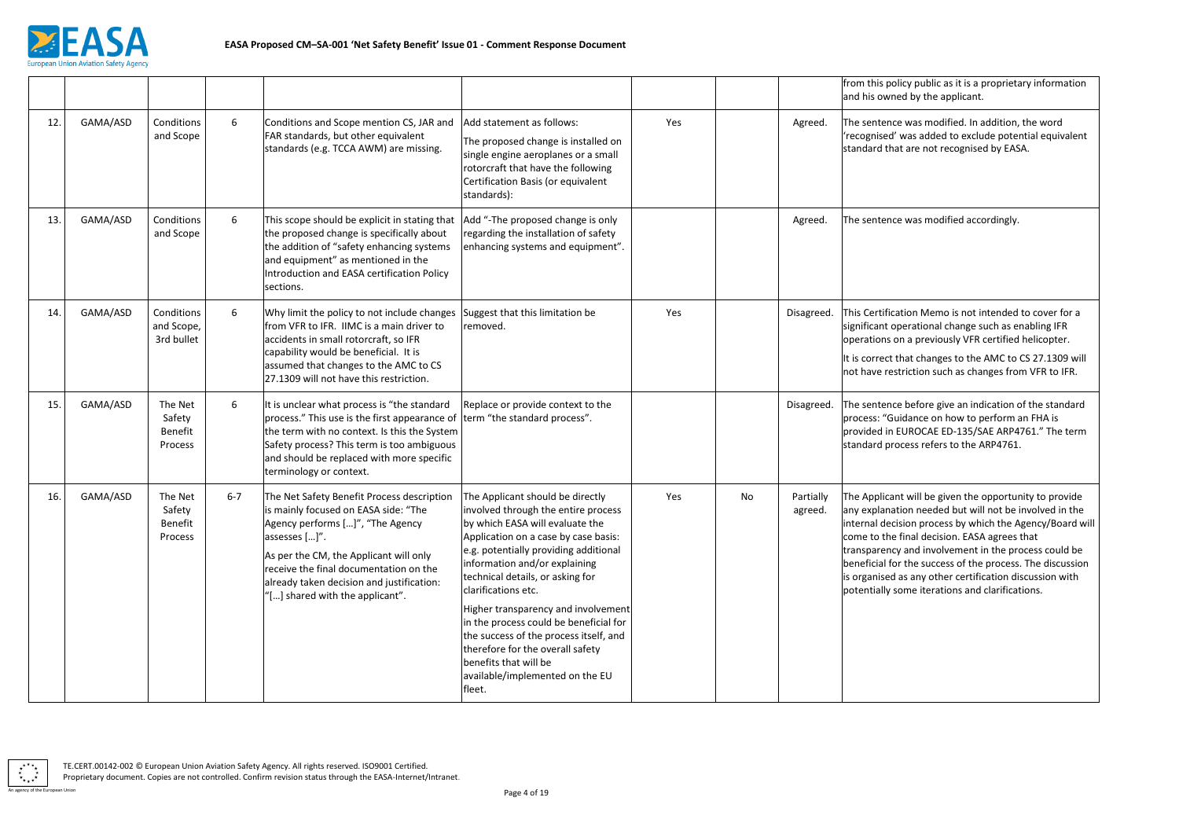

olicy public as it is a proprietary information med by the applicant.

Ice was modified. In addition, the word d' was added to exclude potential equivalent hat are not recognised by EASA.

Ice was modified accordingly.

ication Memo is not intended to cover for a operational change such as enabling IFR on a previously VFR certified helicopter.

that changes to the AMC to CS 27.1309 will estriction such as changes from VFR to IFR.

Ice before give an indication of the standard Guidance on how to perform an FHA is provided in EUROCAE ED-135/SAE ARP4761." The term rocess refers to the ARP4761.

ant will be given the opportunity to provide ation needed but will not be involved in the  $i$ cision process by which the Agency/Board will e final decision. EASA agrees that icy and involvement in the process could be for the success of the process. The discussion d as any other certification discussion with some iterations and clarifications.

|     |          |                                                |         |                                                                                                                                                                                                                                                                                                             |                                                                                                                                                                                                                                                                                                                                                                                                                                                                                                                              |     |    |                      | from this p<br>and his ow                                                                                             |
|-----|----------|------------------------------------------------|---------|-------------------------------------------------------------------------------------------------------------------------------------------------------------------------------------------------------------------------------------------------------------------------------------------------------------|------------------------------------------------------------------------------------------------------------------------------------------------------------------------------------------------------------------------------------------------------------------------------------------------------------------------------------------------------------------------------------------------------------------------------------------------------------------------------------------------------------------------------|-----|----|----------------------|-----------------------------------------------------------------------------------------------------------------------|
| 12. | GAMA/ASD | Conditions<br>and Scope                        | 6       | Conditions and Scope mention CS, JAR and<br>FAR standards, but other equivalent<br>standards (e.g. TCCA AWM) are missing.                                                                                                                                                                                   | Add statement as follows:<br>The proposed change is installed on<br>single engine aeroplanes or a small<br>rotorcraft that have the following<br>Certification Basis (or equivalent<br>standards):                                                                                                                                                                                                                                                                                                                           | Yes |    | Agreed.              | The senten<br>'recognisec<br>standard th                                                                              |
| 13. | GAMA/ASD | Conditions<br>and Scope                        | 6       | This scope should be explicit in stating that<br>the proposed change is specifically about<br>the addition of "safety enhancing systems<br>and equipment" as mentioned in the<br>Introduction and EASA certification Policy<br>sections.                                                                    | Add "-The proposed change is only<br>regarding the installation of safety<br>enhancing systems and equipment".                                                                                                                                                                                                                                                                                                                                                                                                               |     |    | Agreed.              | The senten                                                                                                            |
| 14. | GAMA/ASD | Conditions<br>and Scope,<br>3rd bullet         | 6       | Why limit the policy to not include changes<br>from VFR to IFR. IIMC is a main driver to<br>accidents in small rotorcraft, so IFR<br>capability would be beneficial. It is<br>assumed that changes to the AMC to CS<br>27.1309 will not have this restriction.                                              | Suggest that this limitation be<br>removed.                                                                                                                                                                                                                                                                                                                                                                                                                                                                                  | Yes |    | Disagreed.           | This Certifio<br>significant<br>operations<br>It is correct<br>not have re                                            |
| 15. | GAMA/ASD | The Net<br>Safety<br>Benefit<br>Process        | 6       | It is unclear what process is "the standard<br>process." This use is the first appearance of<br>the term with no context. Is this the System<br>Safety process? This term is too ambiguous<br>and should be replaced with more specific<br>terminology or context.                                          | Replace or provide context to the<br>term "the standard process".                                                                                                                                                                                                                                                                                                                                                                                                                                                            |     |    | Disagreed.           | The senten<br>process: "G<br>provided in<br>standard pi                                                               |
| 16. | GAMA/ASD | The Net<br>Safety<br><b>Benefit</b><br>Process | $6 - 7$ | The Net Safety Benefit Process description<br>is mainly focused on EASA side: "The<br>Agency performs []", "The Agency<br>assesses []".<br>As per the CM, the Applicant will only<br>receive the final documentation on the<br>already taken decision and justification:<br>"[] shared with the applicant". | The Applicant should be directly<br>involved through the entire process<br>by which EASA will evaluate the<br>Application on a case by case basis:<br>e.g. potentially providing additional<br>information and/or explaining<br>technical details, or asking for<br>clarifications etc.<br>Higher transparency and involvement<br>in the process could be beneficial for<br>the success of the process itself, and<br>therefore for the overall safety<br>benefits that will be<br>available/implemented on the EU<br>fleet. | Yes | No | Partially<br>agreed. | The Applica<br>any explana<br>internal de<br>come to the<br>transparen<br>beneficial f<br>is organised<br>potentially |

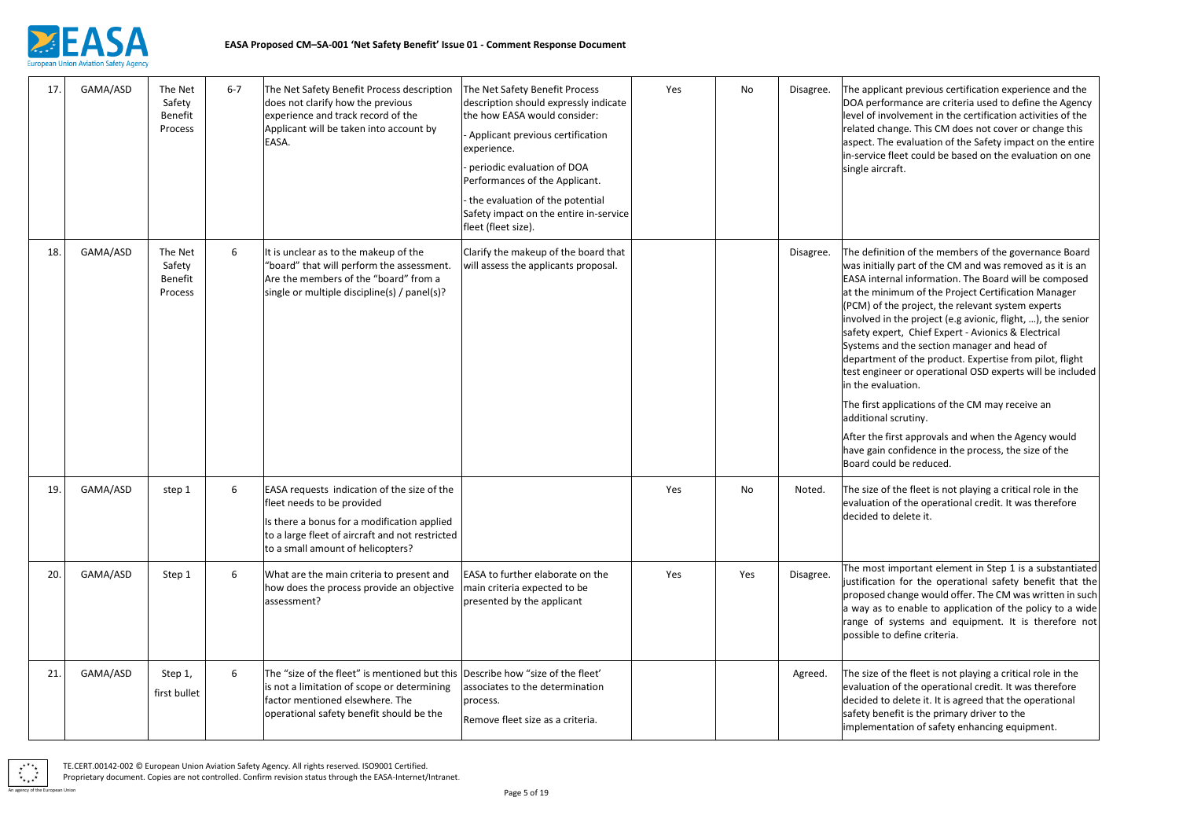

ant previous certification experience and the rmance are criteria used to define the Agency olvement in the certification activities of the inge. This CM does not cover or change this e evaluation of the Safety impact on the entire fleet could be based on the evaluation on one raft.

ion of the members of the governance Board y part of the CM and was removed as it is an nal information. The Board will be composed imum of the Project Certification Manager he project, the relevant system experts the project (e.g avionic, flight, ...), the senior ert, Chief Expert - Avionics & Electrical nd the section manager and head of nt of the product. Expertise from pilot, flight eer or operational OSD experts will be included uation.

plications of the CM may receive an scrutiny.

irst approvals and when the Agency would confidence in the process, the size of the Id be reduced.

the fleet is not playing a critical role in the of the operational credit. It was therefore delete it.

Important element in Step 1 is a substantiated n for the operational safety benefit that the change would offer. The CM was written in such to enable to application of the policy to a wide systems and equipment. It is therefore not define criteria.

the fleet is not playing a critical role in the of the operational credit. It was therefore delete it. It is agreed that the operational efit is the primary driver to the tation of safety enhancing equipment.

| 17. | GAMA/ASD | The Net<br>Safety<br><b>Benefit</b><br>Process | $6 - 7$ | The Net Safety Benefit Process description<br>does not clarify how the previous<br>experience and track record of the<br>Applicant will be taken into account by<br>EASA.                                        | The Net Safety Benefit Process<br>description should expressly indicate<br>the how EASA would consider:<br>- Applicant previous certification<br>experience.<br>periodic evaluation of DOA<br>Performances of the Applicant.<br>the evaluation of the potential<br>Safety impact on the entire in-service | Yes | No  | Disagree. | The applica<br>DOA perfo<br>level of inv<br>related cha<br>aspect. The<br>in-service f<br>single aircr                                                                                                                                                  |
|-----|----------|------------------------------------------------|---------|------------------------------------------------------------------------------------------------------------------------------------------------------------------------------------------------------------------|-----------------------------------------------------------------------------------------------------------------------------------------------------------------------------------------------------------------------------------------------------------------------------------------------------------|-----|-----|-----------|---------------------------------------------------------------------------------------------------------------------------------------------------------------------------------------------------------------------------------------------------------|
| 18. | GAMA/ASD | The Net<br>Safety<br>Benefit<br>Process        | 6       | It is unclear as to the makeup of the<br>"board" that will perform the assessment.<br>Are the members of the "board" from a<br>single or multiple discipline(s) / panel(s)?                                      | fleet (fleet size).<br>Clarify the makeup of the board that<br>will assess the applicants proposal.                                                                                                                                                                                                       |     |     | Disagree. | The definit<br>was initiall<br><b>EASA</b> inter<br>at the mini<br>(PCM) of th<br>involved in<br>safety expe<br>Systems ar<br>departmen<br>test engine<br>in the eval<br>The first ap<br>additional<br>After the fi<br>have gain o<br><b>Board coul</b> |
| 19. | GAMA/ASD | step 1                                         | 6       | EASA requests indication of the size of the<br>fleet needs to be provided<br>Is there a bonus for a modification applied<br>to a large fleet of aircraft and not restricted<br>to a small amount of helicopters? |                                                                                                                                                                                                                                                                                                           | Yes | No  | Noted.    | The size of<br>evaluation<br>decided to                                                                                                                                                                                                                 |
| 20. | GAMA/ASD | Step 1                                         | 6       | What are the main criteria to present and<br>how does the process provide an objective<br>assessment?                                                                                                            | EASA to further elaborate on the<br>main criteria expected to be<br>presented by the applicant                                                                                                                                                                                                            | Yes | Yes | Disagree. | The most i<br>justification<br>proposed c<br>a way as to<br>range of s<br>possible to                                                                                                                                                                   |
| 21. | GAMA/ASD | Step 1,<br>first bullet                        | 6       | The "size of the fleet" is mentioned but this Describe how "size of the fleet'<br>is not a limitation of scope or determining<br>factor mentioned elsewhere. The<br>operational safety benefit should be the     | associates to the determination<br>process.<br>Remove fleet size as a criteria.                                                                                                                                                                                                                           |     |     | Agreed.   | The size of<br>evaluation<br>decided to<br>safety ben<br>implement                                                                                                                                                                                      |

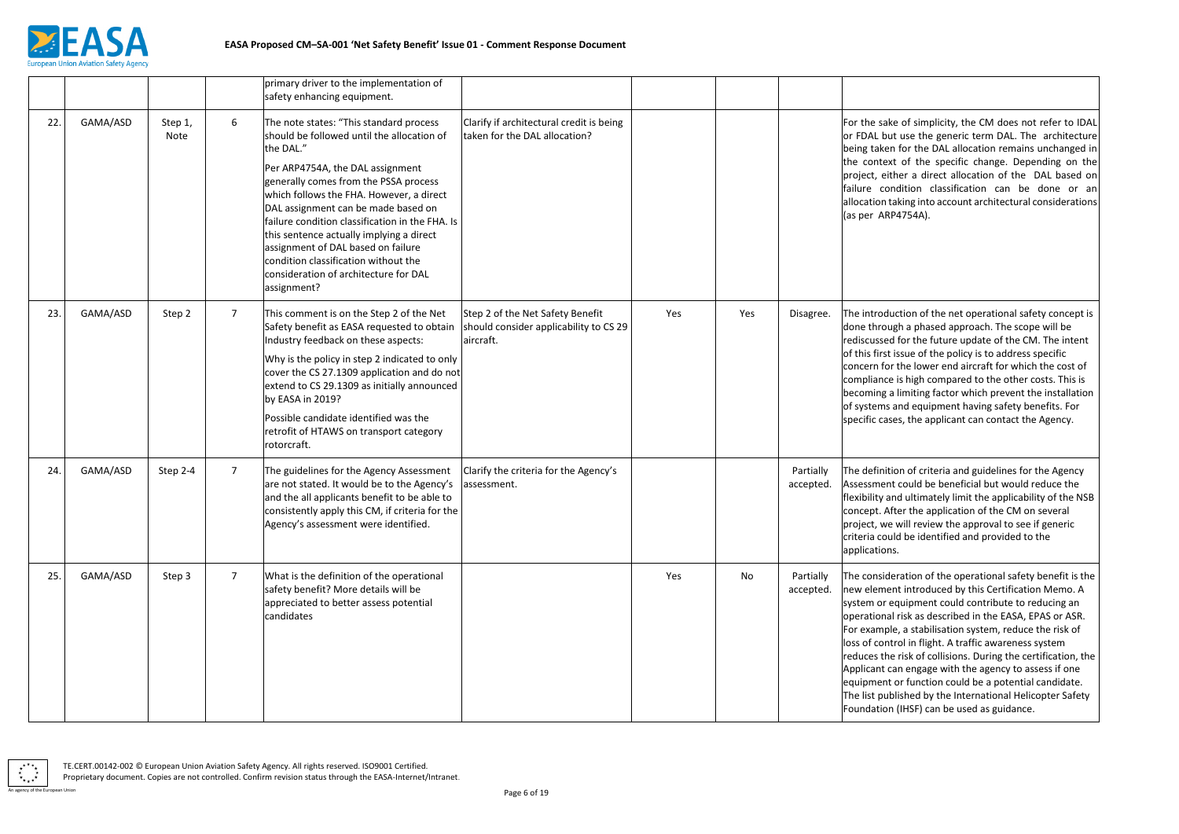

ke of simplicity, the CM does not refer to IDAL at use the generic term DAL. The architecture n for the DAL allocation remains unchanged in xt of the specific change. Depending on the ther a direct allocation of the DAL based on ndition classification can be done or an aking into account architectural considerations P4754A).

uction of the net operational safety concept is igh a phased approach. The scope will be d for the future update of the CM. The intent issue of the policy is to address specific the lower end aircraft for which the cost of is high compared to the other costs. This is limiting factor which prevent the installation and equipment having safety benefits. For ses, the applicant can contact the Agency.

ion of criteria and guidelines for the Agency t could be beneficial but would reduce the nd ultimately limit the applicability of the NSB fter the application of the CM on several will review the approval to see if generic Ild be identified and provided to the is.

eration of the operational safety benefit is the nt introduced by this Certification Memo. A equipment could contribute to reducing an risk as described in the EASA, EPAS or ASR. le, a stabilisation system, reduce the risk of trol in flight. A traffic awareness system e risk of collisions. During the certification, the  $\vert$ an engage with the agency to assess if one or function could be a potential candidate. plished by the International Helicopter Safety (IHSF) can be used as guidance.

|     |          |                        |                 | primary driver to the implementation of<br>safety enhancing equipment.                                                                                                                                                                                                                                                                                                                                                                                                                                  |                                                                                         |     |     |                        |                                                                                                                                                               |
|-----|----------|------------------------|-----------------|---------------------------------------------------------------------------------------------------------------------------------------------------------------------------------------------------------------------------------------------------------------------------------------------------------------------------------------------------------------------------------------------------------------------------------------------------------------------------------------------------------|-----------------------------------------------------------------------------------------|-----|-----|------------------------|---------------------------------------------------------------------------------------------------------------------------------------------------------------|
| 22. | GAMA/ASD | Step 1,<br><b>Note</b> | 6               | The note states: "This standard process<br>should be followed until the allocation of<br>the DAL."<br>Per ARP4754A, the DAL assignment<br>generally comes from the PSSA process<br>which follows the FHA. However, a direct<br>DAL assignment can be made based on<br>failure condition classification in the FHA. Is<br>this sentence actually implying a direct<br>assignment of DAL based on failure<br>condition classification without the<br>consideration of architecture for DAL<br>assignment? | Clarify if architectural credit is being<br>taken for the DAL allocation?               |     |     |                        | For the sak<br>or FDAL bu<br>being taker<br>the contex<br>project, eit<br>failure cor<br>allocation t<br>(as per ARI                                          |
| 23. | GAMA/ASD | Step 2                 | $\overline{7}$  | This comment is on the Step 2 of the Net<br>Safety benefit as EASA requested to obtain<br>Industry feedback on these aspects:<br>Why is the policy in step 2 indicated to only<br>cover the CS 27.1309 application and do not<br>extend to CS 29.1309 as initially announced<br>by EASA in 2019?<br>Possible candidate identified was the<br>retrofit of HTAWS on transport category<br>rotorcraft.                                                                                                     | Step 2 of the Net Safety Benefit<br>should consider applicability to CS 29<br>aircraft. | Yes | Yes | Disagree.              | The introdu<br>done throu<br>rediscussed<br>of this first<br>concern for<br>compliance<br>becoming a<br>of systems<br>specific cas                            |
| 24. | GAMA/ASD | Step 2-4               | $7\overline{ }$ | The guidelines for the Agency Assessment<br>are not stated. It would be to the Agency's<br>and the all applicants benefit to be able to<br>consistently apply this CM, if criteria for the<br>Agency's assessment were identified.                                                                                                                                                                                                                                                                      | Clarify the criteria for the Agency's<br>assessment.                                    |     |     | Partially<br>accepted. | The definiti<br>Assessment<br>flexibility ar<br>concept. Af<br>project, we<br>criteria cou<br>application                                                     |
| 25. | GAMA/ASD | Step 3                 | $\overline{7}$  | What is the definition of the operational<br>safety benefit? More details will be<br>appreciated to better assess potential<br>candidates                                                                                                                                                                                                                                                                                                                                                               |                                                                                         | Yes | No  | Partially<br>accepted. | The conside<br>new eleme<br>system or e<br>operational<br>For exampl<br>loss of cont<br>reduces the<br>Applicant c<br>equipment<br>The list pub<br>Foundation |

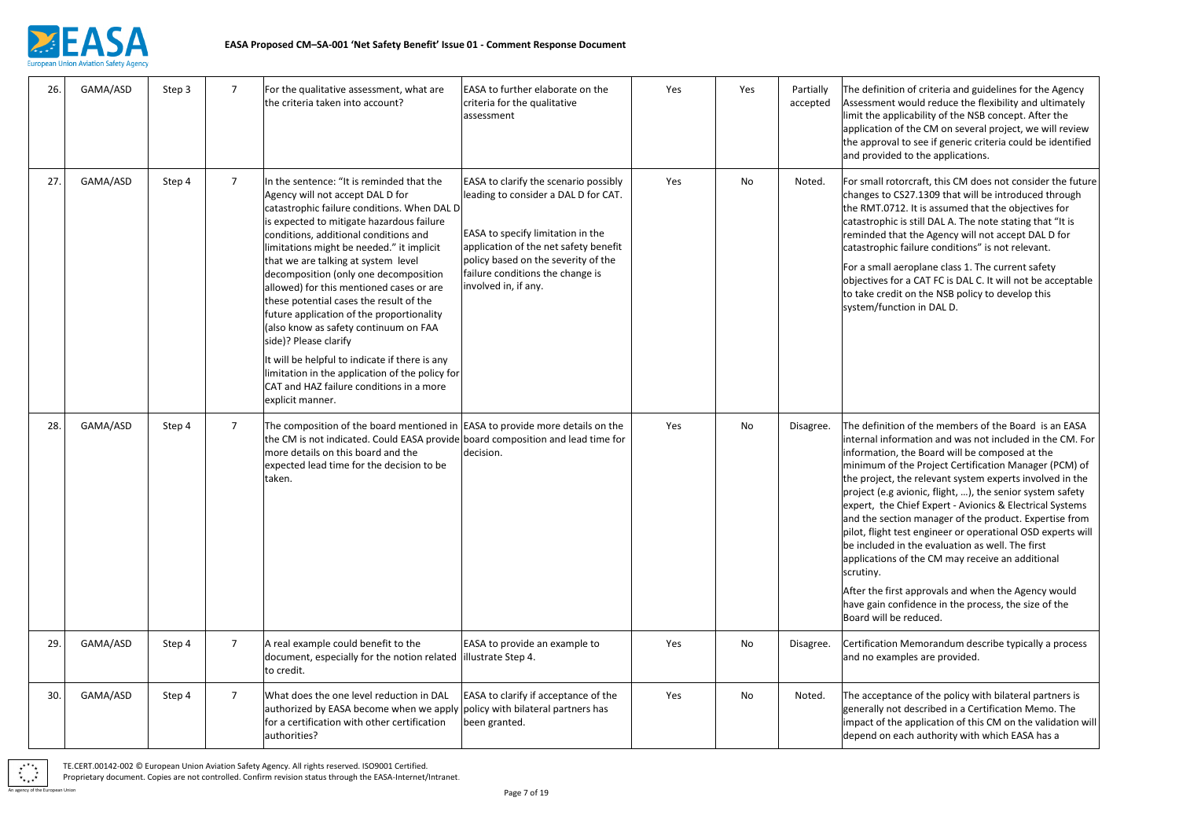

tion of criteria and guidelines for the Agency at would reduce the flexibility and ultimately pplicability of the NSB concept. After the of the CM on several project, we will review val to see if generic criteria could be identified ded to the applications.

rotorcraft, this CM does not consider the future $\vert$ CS27.1309 that will be introduced through 1712. It is assumed that the objectives for hic is still DAL A. The note stating that "It is that the Agency will not accept DAL D for hic failure conditions" is not relevant.

I aeroplane class 1. The current safety for a CAT FC is DAL C. It will not be acceptable edit on the NSB policy to develop this nction in DAL D.

tion of the members of the Board is an EASA formation and was not included in the CM. For on, the Board will be composed at the of the Project Certification Manager (PCM) of t, the relevant system experts involved in the .g avionic, flight, ...), the senior system safety e Chief Expert - Avionics & Electrical Systems ction manager of the product. Expertise from test engineer or operational OSD experts will ed in the evaluation as well. The first ns of the CM may receive an additional

irst approvals and when the Agency would confidence in the process, the size of the be reduced.

on Memorandum describe typically a process amples are provided.

tance of the policy with bilateral partners is not described in a Certification Memo. The the application of this CM on the validation will each authority with which EASA has a

| 26. | GAMA/ASD | Step 3 | $\overline{7}$  | For the qualitative assessment, what are<br>the criteria taken into account?                                                                                                                                                                                                                                                                                                                                                                                                                                                                                                                                                                                                                                               | EASA to further elaborate on the<br>criteria for the qualitative<br>assessment                                                                                                                                                                                 | Yes | Yes | Partially<br>accepted | The definit<br>Assessmen<br>limit the ap<br>applicatior<br>the approv<br>and provid                                                                                                                                               |
|-----|----------|--------|-----------------|----------------------------------------------------------------------------------------------------------------------------------------------------------------------------------------------------------------------------------------------------------------------------------------------------------------------------------------------------------------------------------------------------------------------------------------------------------------------------------------------------------------------------------------------------------------------------------------------------------------------------------------------------------------------------------------------------------------------------|----------------------------------------------------------------------------------------------------------------------------------------------------------------------------------------------------------------------------------------------------------------|-----|-----|-----------------------|-----------------------------------------------------------------------------------------------------------------------------------------------------------------------------------------------------------------------------------|
| 27. | GAMA/ASD | Step 4 | $\overline{7}$  | In the sentence: "It is reminded that the<br>Agency will not accept DAL D for<br>catastrophic failure conditions. When DAL D<br>is expected to mitigate hazardous failure<br>conditions, additional conditions and<br>limitations might be needed." it implicit<br>that we are talking at system level<br>decomposition (only one decomposition<br>allowed) for this mentioned cases or are<br>these potential cases the result of the<br>future application of the proportionality<br>(also know as safety continuum on FAA<br>side)? Please clarify<br>It will be helpful to indicate if there is any<br>limitation in the application of the policy for<br>CAT and HAZ failure conditions in a more<br>explicit manner. | EASA to clarify the scenario possibly<br>leading to consider a DAL D for CAT.<br>EASA to specify limitation in the<br>application of the net safety benefit<br>policy based on the severity of the<br>failure conditions the change is<br>involved in, if any. | Yes | No  | Noted.                | For small r<br>changes to<br>the RMT.0<br>catastroph<br>reminded t<br>catastroph<br>For a small<br>objectives<br>to take cre<br>system/fur                                                                                        |
| 28. | GAMA/ASD | Step 4 | $\overline{7}$  | The composition of the board mentioned in EASA to provide more details on the<br>the CM is not indicated. Could EASA provide board composition and lead time for<br>more details on this board and the<br>expected lead time for the decision to be<br>taken.                                                                                                                                                                                                                                                                                                                                                                                                                                                              | decision.                                                                                                                                                                                                                                                      | Yes | No  | Disagree.             | The definit<br>internal inf<br>informatio<br>minimum o<br>the project<br>project (e.<br>expert, the<br>and the set<br>pilot, flight<br>be include<br>applicatior<br>scrutiny.<br>After the fi<br>have gain o<br><b>Board will</b> |
| 29. | GAMA/ASD | Step 4 | $\overline{7}$  | A real example could benefit to the<br>document, especially for the notion related<br>to credit.                                                                                                                                                                                                                                                                                                                                                                                                                                                                                                                                                                                                                           | EASA to provide an example to<br>illustrate Step 4.                                                                                                                                                                                                            | Yes | No  | Disagree.             | Certificatio<br>and no exa                                                                                                                                                                                                        |
| 30. | GAMA/ASD | Step 4 | $7\overline{ }$ | What does the one level reduction in DAL<br>authorized by EASA become when we apply policy with bilateral partners has<br>for a certification with other certification<br>authorities?                                                                                                                                                                                                                                                                                                                                                                                                                                                                                                                                     | EASA to clarify if acceptance of the<br>been granted.                                                                                                                                                                                                          | Yes | No  | Noted.                | The accept<br>generally r<br>impact of t<br>depend on                                                                                                                                                                             |

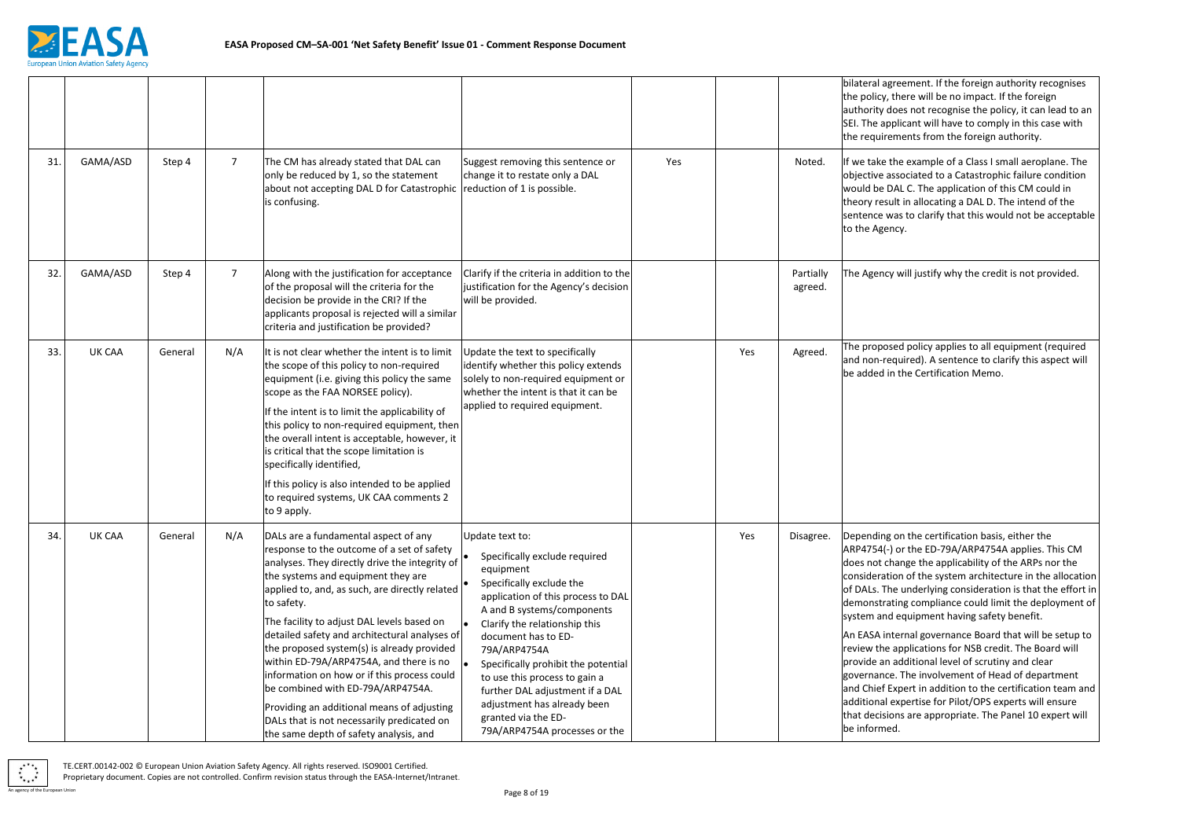

greement. If the foreign authority recognises there will be no impact. If the foreign loes not recognise the policy, it can lead to an plicant will have to comply in this case with ements from the foreign authority.

the example of a Class I small aeroplane. The issociated to a Catastrophic failure condition DAL C. The application of this CM could in ult in allocating a DAL D. The intend of the vas to clarify that this would not be acceptable ncy.

y will justify why the credit is not provided.

sed policy applies to all equipment (required equired). A sentence to clarify this aspect will n the Certification Memo.

on the certification basis, either the or the ED-79A/ARP4754A applies. This CM hange the applicability of the ARPs nor the ion of the system architecture in the allocation ne underlying consideration is that the effort in iting compliance could limit the deployment of equipment having safety benefit.

|     |          |         |                 |                                                                                                                                                                                                                                                                                                                                                                                                                                                                                                                                                                                                                                                              |                                                                                                                                                                                                                                                                                                                                                                                                                                         |     |     |                      | bilateral ag<br>the policy,<br>authority d<br>SEI. The ap<br>the require                                                                                                                                           |
|-----|----------|---------|-----------------|--------------------------------------------------------------------------------------------------------------------------------------------------------------------------------------------------------------------------------------------------------------------------------------------------------------------------------------------------------------------------------------------------------------------------------------------------------------------------------------------------------------------------------------------------------------------------------------------------------------------------------------------------------------|-----------------------------------------------------------------------------------------------------------------------------------------------------------------------------------------------------------------------------------------------------------------------------------------------------------------------------------------------------------------------------------------------------------------------------------------|-----|-----|----------------------|--------------------------------------------------------------------------------------------------------------------------------------------------------------------------------------------------------------------|
| 31. | GAMA/ASD | Step 4  | $7\overline{ }$ | The CM has already stated that DAL can<br>only be reduced by 1, so the statement<br>about not accepting DAL D for Catastrophic   reduction of 1 is possible.<br>is confusing.                                                                                                                                                                                                                                                                                                                                                                                                                                                                                | Suggest removing this sentence or<br>change it to restate only a DAL                                                                                                                                                                                                                                                                                                                                                                    | Yes |     | Noted.               | If we take t<br>objective a<br>would be D<br>theory resu<br>sentence w<br>to the Ager                                                                                                                              |
| 32. | GAMA/ASD | Step 4  | $\overline{7}$  | Along with the justification for acceptance<br>of the proposal will the criteria for the<br>decision be provide in the CRI? If the<br>applicants proposal is rejected will a similar<br>criteria and justification be provided?                                                                                                                                                                                                                                                                                                                                                                                                                              | Clarify if the criteria in addition to the<br>justification for the Agency's decision<br>will be provided.                                                                                                                                                                                                                                                                                                                              |     |     | Partially<br>agreed. | The Agency                                                                                                                                                                                                         |
| 33. | UK CAA   | General | N/A             | It is not clear whether the intent is to limit<br>the scope of this policy to non-required<br>equipment (i.e. giving this policy the same<br>scope as the FAA NORSEE policy).<br>If the intent is to limit the applicability of<br>this policy to non-required equipment, then<br>the overall intent is acceptable, however, it<br>is critical that the scope limitation is<br>specifically identified,<br>If this policy is also intended to be applied<br>to required systems, UK CAA comments 2<br>to 9 apply.                                                                                                                                            | Update the text to specifically<br>identify whether this policy extends<br>solely to non-required equipment or<br>whether the intent is that it can be<br>applied to required equipment.                                                                                                                                                                                                                                                |     | Yes | Agreed.              | The propos<br>and non-re<br>be added in                                                                                                                                                                            |
| 34. | UK CAA   | General | N/A             | DALs are a fundamental aspect of any<br>response to the outcome of a set of safety<br>analyses. They directly drive the integrity of<br>the systems and equipment they are<br>applied to, and, as such, are directly related<br>to safety.<br>The facility to adjust DAL levels based on<br>detailed safety and architectural analyses of<br>the proposed system(s) is already provided<br>within ED-79A/ARP4754A, and there is no<br>information on how or if this process could<br>be combined with ED-79A/ARP4754A.<br>Providing an additional means of adjusting<br>DALs that is not necessarily predicated on<br>the same depth of safety analysis, and | Update text to:<br>Specifically exclude required<br>equipment<br>Specifically exclude the<br>application of this process to DAL<br>A and B systems/components<br>Clarify the relationship this<br>document has to ED-<br>79A/ARP4754A<br>Specifically prohibit the potential<br>to use this process to gain a<br>further DAL adjustment if a DAL<br>adjustment has already been<br>granted via the ED-<br>79A/ARP4754A processes or the |     | Yes | Disagree.            | Depending<br>ARP4754(-)<br>does not ch<br>considerati<br>of DALs. Th<br>demonstra<br>system and<br>An EASA in<br>review the<br>provide an<br>governance<br>and Chief E<br>additional<br>that decisio<br>be informe |



ternal governance Board that will be setup to applications for NSB credit. The Board will additional level of scrutiny and clear e. The involvement of Head of department Expert in addition to the certification team and expertise for Pilot/OPS experts will ensure ons are appropriate. The Panel 10 expert will be informed.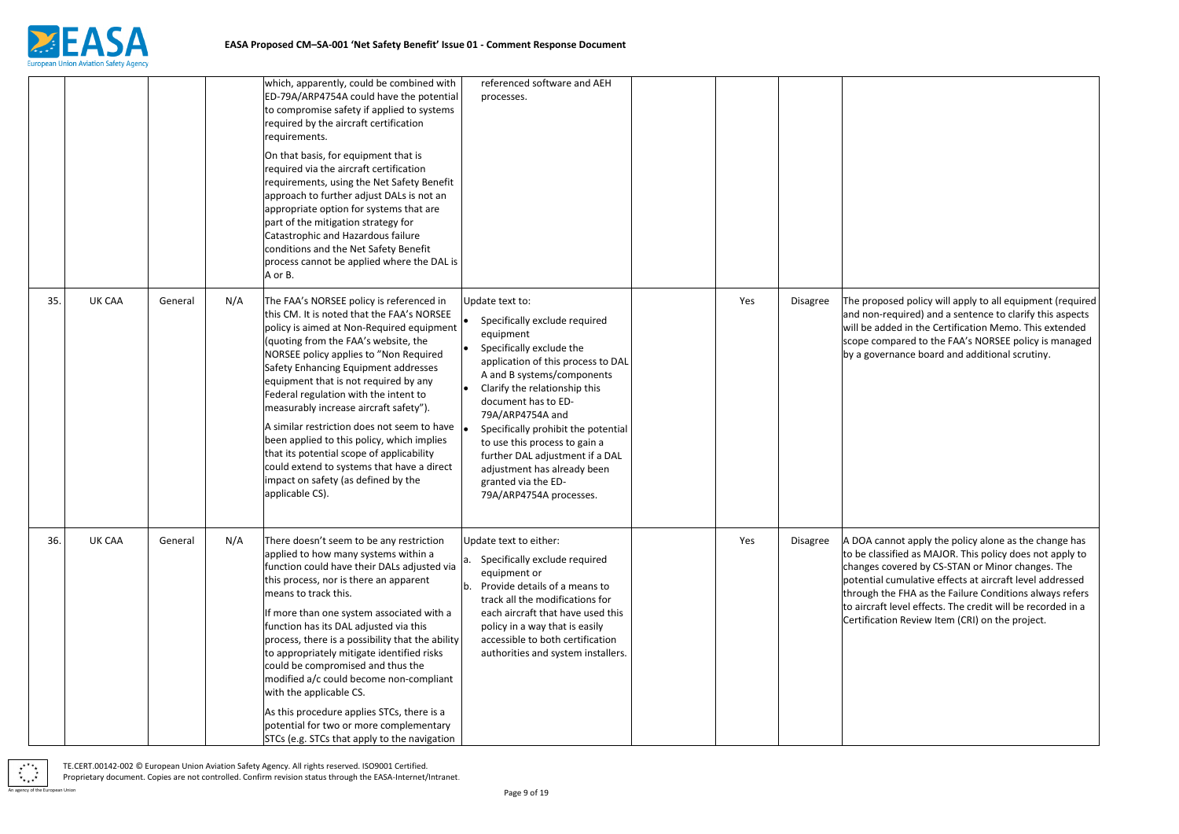

Ised policy will apply to all equipment (required equired) and a sentence to clarify this aspects ded in the Certification Memo. This extended npared to the FAA's NORSEE policy is managed rnance board and additional scrutiny.

anot apply the policy alone as the change has sified as MAJOR. This policy does not apply to overed by CS-STAN or Minor changes. The cumulative effects at aircraft level addressed he FHA as the Failure Conditions always refers level effects. The credit will be recorded in a on Review Item (CRI) on the project.

|     |               |         |     | which, apparently, could be combined with<br>ED-79A/ARP4754A could have the potential<br>to compromise safety if applied to systems<br>required by the aircraft certification<br>requirements.<br>On that basis, for equipment that is                                                                                                                                                                                                                                                                                                                                                                                                              | referenced software and AEH<br>processes.                                                                                                                                                                                                                                                                                                                                                                                             |     |                 |                                                                                                    |
|-----|---------------|---------|-----|-----------------------------------------------------------------------------------------------------------------------------------------------------------------------------------------------------------------------------------------------------------------------------------------------------------------------------------------------------------------------------------------------------------------------------------------------------------------------------------------------------------------------------------------------------------------------------------------------------------------------------------------------------|---------------------------------------------------------------------------------------------------------------------------------------------------------------------------------------------------------------------------------------------------------------------------------------------------------------------------------------------------------------------------------------------------------------------------------------|-----|-----------------|----------------------------------------------------------------------------------------------------|
|     |               |         |     | required via the aircraft certification<br>requirements, using the Net Safety Benefit<br>approach to further adjust DALs is not an<br>appropriate option for systems that are<br>part of the mitigation strategy for<br>Catastrophic and Hazardous failure<br>conditions and the Net Safety Benefit<br>process cannot be applied where the DAL is<br>A or B.                                                                                                                                                                                                                                                                                        |                                                                                                                                                                                                                                                                                                                                                                                                                                       |     |                 |                                                                                                    |
| 35. | <b>UK CAA</b> | General | N/A | The FAA's NORSEE policy is referenced in<br>this CM. It is noted that the FAA's NORSEE<br>policy is aimed at Non-Required equipment<br>(quoting from the FAA's website, the<br>NORSEE policy applies to "Non Required<br>Safety Enhancing Equipment addresses<br>equipment that is not required by any<br>Federal regulation with the intent to<br>measurably increase aircraft safety").<br>A similar restriction does not seem to have $\vert$<br>been applied to this policy, which implies<br>that its potential scope of applicability<br>could extend to systems that have a direct<br>impact on safety (as defined by the<br>applicable CS). | Update text to:<br>Specifically exclude required<br>equipment<br>Specifically exclude the<br>application of this process to DAL<br>A and B systems/components<br>Clarify the relationship this<br>document has to ED-<br>79A/ARP4754A and<br>Specifically prohibit the potential<br>to use this process to gain a<br>further DAL adjustment if a DAL<br>adjustment has already been<br>granted via the ED-<br>79A/ARP4754A processes. | Yes | Disagree        | The propo:<br>and non-re<br>will be add<br>scope com<br>by a gover                                 |
| 36. | <b>UK CAA</b> | General | N/A | There doesn't seem to be any restriction<br>applied to how many systems within a<br>function could have their DALs adjusted via<br>this process, nor is there an apparent<br>means to track this.<br>If more than one system associated with a<br>function has its DAL adjusted via this<br>process, there is a possibility that the ability<br>to appropriately mitigate identified risks<br>could be compromised and thus the<br>modified a/c could become non-compliant<br>with the applicable CS.<br>As this procedure applies STCs, there is a                                                                                                 | Update text to either:<br>a. Specifically exclude required<br>equipment or<br>b. Provide details of a means to<br>track all the modifications for<br>each aircraft that have used this<br>policy in a way that is easily<br>accessible to both certification<br>authorities and system installers.                                                                                                                                    | Yes | <b>Disagree</b> | A DOA can<br>to be class<br>changes co<br>potential c<br>through th<br>to aircraft<br>Certificatic |
|     |               |         |     | potential for two or more complementary<br>STCs (e.g. STCs that apply to the navigation                                                                                                                                                                                                                                                                                                                                                                                                                                                                                                                                                             |                                                                                                                                                                                                                                                                                                                                                                                                                                       |     |                 |                                                                                                    |

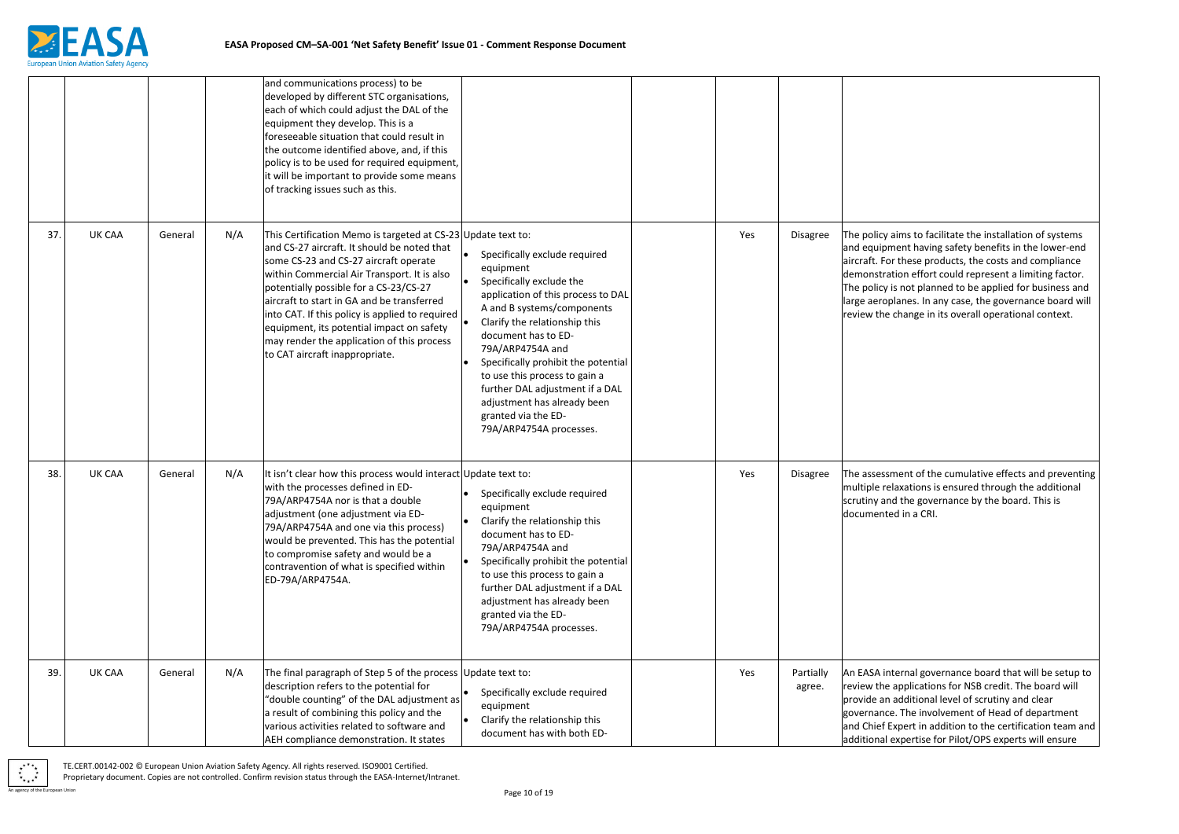

aims to facilitate the installation of systems ment having safety benefits in the lower-end or these products, the costs and compliance ation effort could represent a limiting factor. is not planned to be applied for business and planes. In any case, the governance board will change in its overall operational context.

ment of the cumulative effects and preventing laxations is ensured through the additional d the governance by the board. This is ed in a CRI.

Iternal governance board that will be setup to applications for NSB credit. The board will additional level of scrutiny and clear e. The involvement of Head of department Expert in addition to the certification team and additional expertise for Pilot/OPS experts will ensure

|     |        |         |     | and communications process) to be<br>developed by different STC organisations,<br>each of which could adjust the DAL of the<br>equipment they develop. This is a<br>foreseeable situation that could result in<br>the outcome identified above, and, if this<br>policy is to be used for required equipment,<br>it will be important to provide some means<br>of tracking issues such as this.                                                                              |                                                                                                                                                                                                                                                                                                                                                                                                                    |     |                     |                                                                                                      |
|-----|--------|---------|-----|-----------------------------------------------------------------------------------------------------------------------------------------------------------------------------------------------------------------------------------------------------------------------------------------------------------------------------------------------------------------------------------------------------------------------------------------------------------------------------|--------------------------------------------------------------------------------------------------------------------------------------------------------------------------------------------------------------------------------------------------------------------------------------------------------------------------------------------------------------------------------------------------------------------|-----|---------------------|------------------------------------------------------------------------------------------------------|
| 37. | UK CAA | General | N/A | This Certification Memo is targeted at CS-23 Update text to:<br>and CS-27 aircraft. It should be noted that<br>some CS-23 and CS-27 aircraft operate<br>within Commercial Air Transport. It is also<br>potentially possible for a CS-23/CS-27<br>aircraft to start in GA and be transferred<br>into CAT. If this policy is applied to required<br>equipment, its potential impact on safety<br>may render the application of this process<br>to CAT aircraft inappropriate. | Specifically exclude required<br>equipment<br>Specifically exclude the<br>application of this process to DAL<br>A and B systems/components<br>Clarify the relationship this<br>document has to ED-<br>79A/ARP4754A and<br>Specifically prohibit the potential<br>to use this process to gain a<br>further DAL adjustment if a DAL<br>adjustment has already been<br>granted via the ED-<br>79A/ARP4754A processes. | Yes | Disagree            | The policy a<br>and equipn<br>aircraft. Fo<br>demonstra<br>The policy i<br>large aerop<br>review the |
| 38. | UK CAA | General | N/A | It isn't clear how this process would interact Update text to:<br>with the processes defined in ED-<br>79A/ARP4754A nor is that a double<br>adjustment (one adjustment via ED-<br>79A/ARP4754A and one via this process)<br>would be prevented. This has the potential<br>to compromise safety and would be a<br>contravention of what is specified within<br>ED-79A/ARP4754A.                                                                                              | Specifically exclude required<br>equipment<br>Clarify the relationship this<br>document has to ED-<br>79A/ARP4754A and<br>Specifically prohibit the potential<br>to use this process to gain a<br>further DAL adjustment if a DAL<br>adjustment has already been<br>granted via the ED-<br>79A/ARP4754A processes.                                                                                                 | Yes | <b>Disagree</b>     | The assessr<br>multiple re<br>scrutiny an<br> documente                                              |
| 39. | UK CAA | General | N/A | The final paragraph of Step 5 of the process Update text to:<br>description refers to the potential for<br>"double counting" of the DAL adjustment as<br>a result of combining this policy and the<br>various activities related to software and<br>AEH compliance demonstration. It states                                                                                                                                                                                 | Specifically exclude required<br>equipment<br>Clarify the relationship this<br>document has with both ED-                                                                                                                                                                                                                                                                                                          | Yes | Partially<br>agree. | An EASA in<br>review the<br>provide an<br>governance<br>and Chief E<br>additional                    |

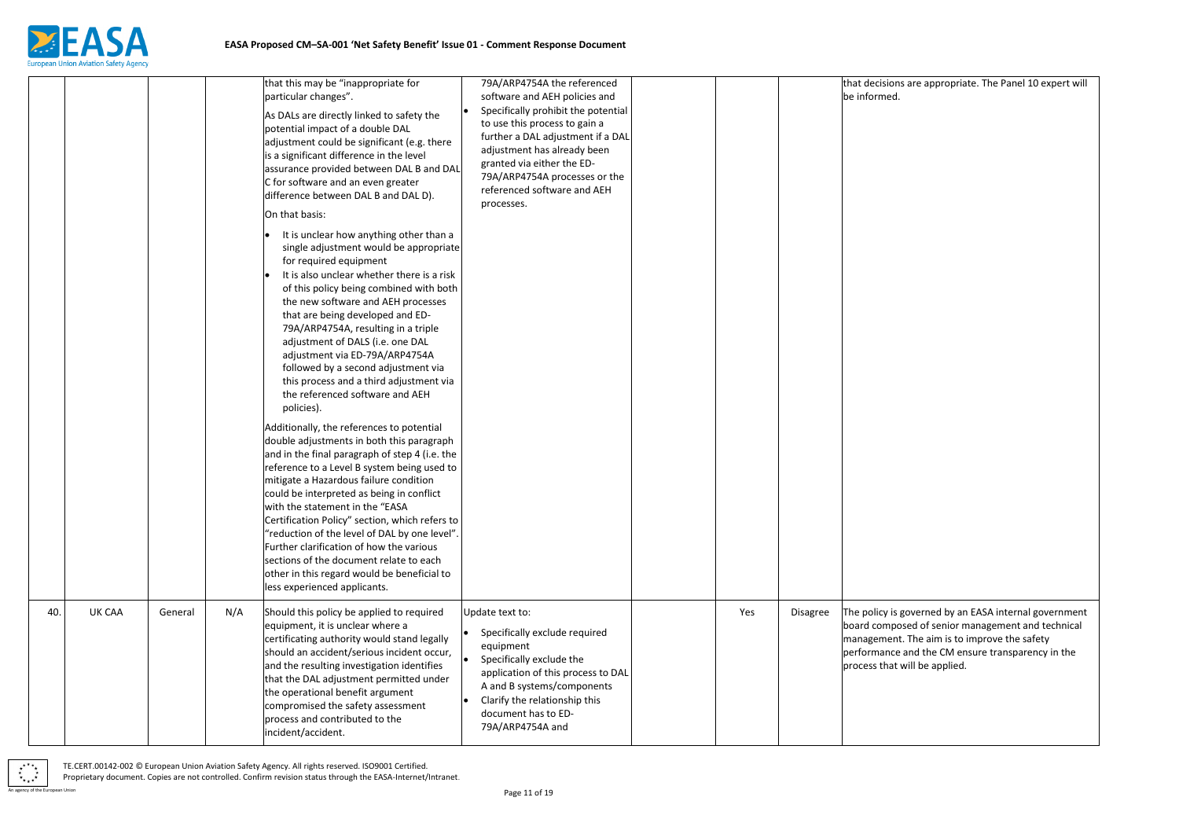

ions are appropriate. The Panel 10 expert will ed.

If is governed by an EASA internal government nposed of senior management and technical ent. The aim is to improve the safety nce and the CM ensure transparency in the nat will be applied.

|     |        |         |     | that this may be "inappropriate for                                                                                                                                                                                                                                                                                                                                                                                                                                                                                                                                                                                                                                                                                                                                                                                                                                            | 79A/ARP4754A the referenced                                                                                                                                                                                                                                                           |     |                 | that decisi                                                   |
|-----|--------|---------|-----|--------------------------------------------------------------------------------------------------------------------------------------------------------------------------------------------------------------------------------------------------------------------------------------------------------------------------------------------------------------------------------------------------------------------------------------------------------------------------------------------------------------------------------------------------------------------------------------------------------------------------------------------------------------------------------------------------------------------------------------------------------------------------------------------------------------------------------------------------------------------------------|---------------------------------------------------------------------------------------------------------------------------------------------------------------------------------------------------------------------------------------------------------------------------------------|-----|-----------------|---------------------------------------------------------------|
|     |        |         |     | particular changes".<br>As DALs are directly linked to safety the<br>potential impact of a double DAL<br>adjustment could be significant (e.g. there<br>is a significant difference in the level<br>assurance provided between DAL B and DAL<br>C for software and an even greater<br>difference between DAL B and DAL D).<br>On that basis:<br>It is unclear how anything other than a<br>single adjustment would be appropriate<br>for required equipment<br>It is also unclear whether there is a risk<br>of this policy being combined with both<br>the new software and AEH processes<br>that are being developed and ED-<br>79A/ARP4754A, resulting in a triple<br>adjustment of DALS (i.e. one DAL<br>adjustment via ED-79A/ARP4754A<br>followed by a second adjustment via<br>this process and a third adjustment via<br>the referenced software and AEH<br>policies). | software and AEH policies and<br>Specifically prohibit the potential<br>to use this process to gain a<br>further a DAL adjustment if a DAL<br>adjustment has already been<br>granted via either the ED-<br>79A/ARP4754A processes or the<br>referenced software and AEH<br>processes. |     |                 | be inform                                                     |
|     |        |         |     | Additionally, the references to potential<br>double adjustments in both this paragraph<br>and in the final paragraph of step 4 (i.e. the<br>reference to a Level B system being used to<br>mitigate a Hazardous failure condition<br>could be interpreted as being in conflict<br>with the statement in the "EASA<br>Certification Policy" section, which refers to<br>"reduction of the level of DAL by one level".<br>Further clarification of how the various<br>sections of the document relate to each<br>other in this regard would be beneficial to<br>less experienced applicants.                                                                                                                                                                                                                                                                                     |                                                                                                                                                                                                                                                                                       |     |                 |                                                               |
| 40. | UK CAA | General | N/A | Should this policy be applied to required<br>equipment, it is unclear where a<br>certificating authority would stand legally<br>should an accident/serious incident occur,<br>and the resulting investigation identifies<br>that the DAL adjustment permitted under<br>the operational benefit argument<br>compromised the safety assessment<br>process and contributed to the<br>incident/accident.                                                                                                                                                                                                                                                                                                                                                                                                                                                                           | Update text to:<br>Specifically exclude required<br>equipment<br>Specifically exclude the<br>application of this process to DAL<br>A and B systems/components<br>Clarify the relationship this<br>document has to ED-<br>79A/ARP4754A and                                             | Yes | <b>Disagree</b> | The policy<br>board com<br>managem<br>performar<br>process th |

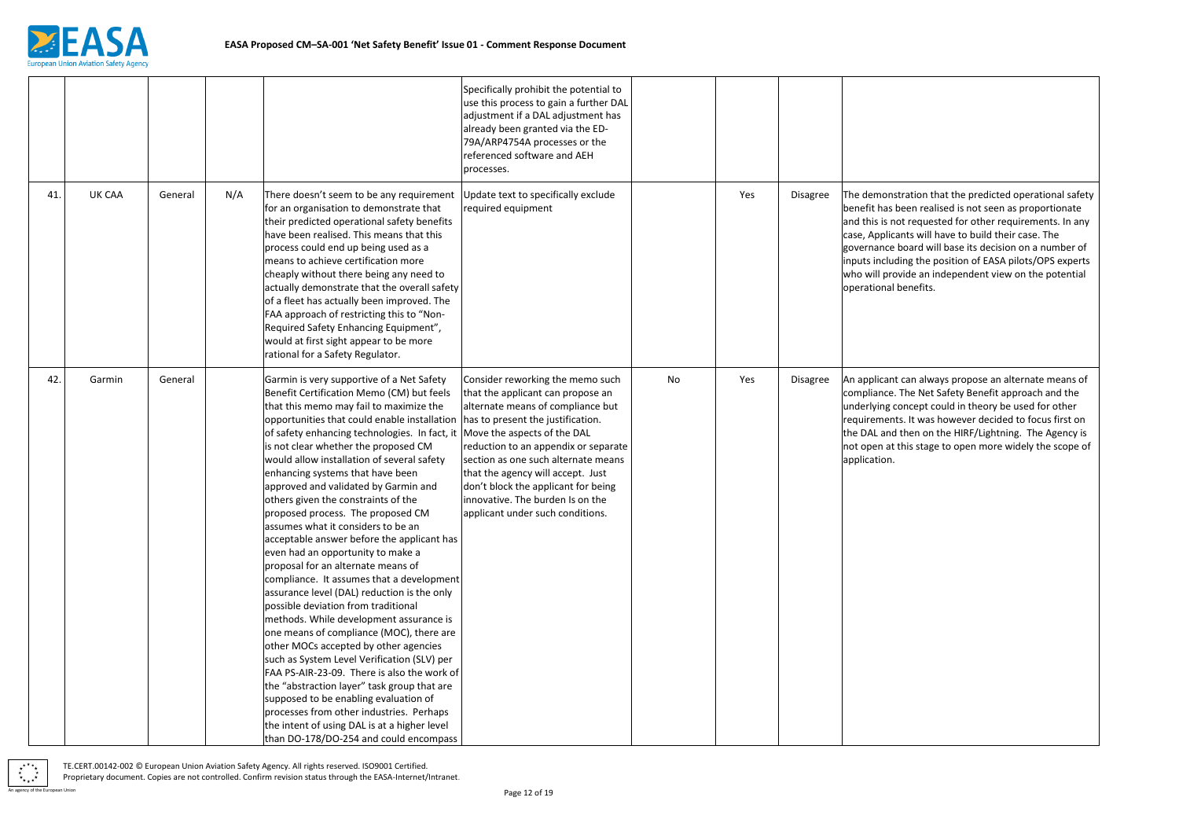

nstration that the predicted operational safety been realised is not seen as proportionate not requested for other requirements. In any icants will have to build their case. The e board will base its decision on a number of uding the position of EASA pilots/OPS experts rovide an independent view on the potential al benefits.

nt can always propose an alternate means of e. The Net Safety Benefit approach and the concept could in theory be used for other nts. It was however decided to focus first on d then on the HIRF/Lightning. The Agency is it this stage to open more widely the scope of

|     |        |         |     |                                                                                                                                                                                                                                                                                                                                                                                                                                                                                                                                                                                                                                                                                                                                                                                                                                                                                                                                                                                                                                                                                                                                                                                                                                                | Specifically prohibit the potential to<br>use this process to gain a further DAL<br>adjustment if a DAL adjustment has<br>already been granted via the ED-<br>79A/ARP4754A processes or the<br>referenced software and AEH<br>processes.                                                                                                                                                                          |    |     |                 |                                                                                                                        |
|-----|--------|---------|-----|------------------------------------------------------------------------------------------------------------------------------------------------------------------------------------------------------------------------------------------------------------------------------------------------------------------------------------------------------------------------------------------------------------------------------------------------------------------------------------------------------------------------------------------------------------------------------------------------------------------------------------------------------------------------------------------------------------------------------------------------------------------------------------------------------------------------------------------------------------------------------------------------------------------------------------------------------------------------------------------------------------------------------------------------------------------------------------------------------------------------------------------------------------------------------------------------------------------------------------------------|-------------------------------------------------------------------------------------------------------------------------------------------------------------------------------------------------------------------------------------------------------------------------------------------------------------------------------------------------------------------------------------------------------------------|----|-----|-----------------|------------------------------------------------------------------------------------------------------------------------|
| 41. | UK CAA | General | N/A | There doesn't seem to be any requirement<br>for an organisation to demonstrate that<br>their predicted operational safety benefits<br>have been realised. This means that this<br>process could end up being used as a<br>means to achieve certification more<br>cheaply without there being any need to<br>actually demonstrate that the overall safety<br>of a fleet has actually been improved. The<br>FAA approach of restricting this to "Non-<br>Required Safety Enhancing Equipment",<br>would at first sight appear to be more<br>rational for a Safety Regulator.                                                                                                                                                                                                                                                                                                                                                                                                                                                                                                                                                                                                                                                                     | Update text to specifically exclude<br>required equipment                                                                                                                                                                                                                                                                                                                                                         |    | Yes | <b>Disagree</b> | The demon<br>benefit has<br>and this is r<br>case, Applic<br>governance<br>inputs inclu<br>who will pro<br>operational |
| 42. | Garmin | General |     | Garmin is very supportive of a Net Safety<br>Benefit Certification Memo (CM) but feels<br>that this memo may fail to maximize the<br>opportunities that could enable installation<br>of safety enhancing technologies. In fact, it<br>is not clear whether the proposed CM<br>would allow installation of several safety<br>enhancing systems that have been<br>approved and validated by Garmin and<br>others given the constraints of the<br>proposed process. The proposed CM<br>assumes what it considers to be an<br>acceptable answer before the applicant has<br>even had an opportunity to make a<br>proposal for an alternate means of<br>compliance. It assumes that a development<br>assurance level (DAL) reduction is the only<br>possible deviation from traditional<br>methods. While development assurance is<br>one means of compliance (MOC), there are<br>other MOCs accepted by other agencies<br>such as System Level Verification (SLV) per<br>FAA PS-AIR-23-09. There is also the work of<br>the "abstraction layer" task group that are<br>supposed to be enabling evaluation of<br>processes from other industries. Perhaps<br>the intent of using DAL is at a higher level<br>than DO-178/DO-254 and could encompass | Consider reworking the memo such<br>that the applicant can propose an<br>alternate means of compliance but<br>has to present the justification.<br>Move the aspects of the DAL<br>reduction to an appendix or separate<br>section as one such alternate means<br>that the agency will accept. Just<br>don't block the applicant for being<br>innovative. The burden Is on the<br>applicant under such conditions. | No | Yes | Disagree        | An applican<br>compliance<br>underlying<br>requiremen<br>the DAL and<br>not open at<br>application.                    |

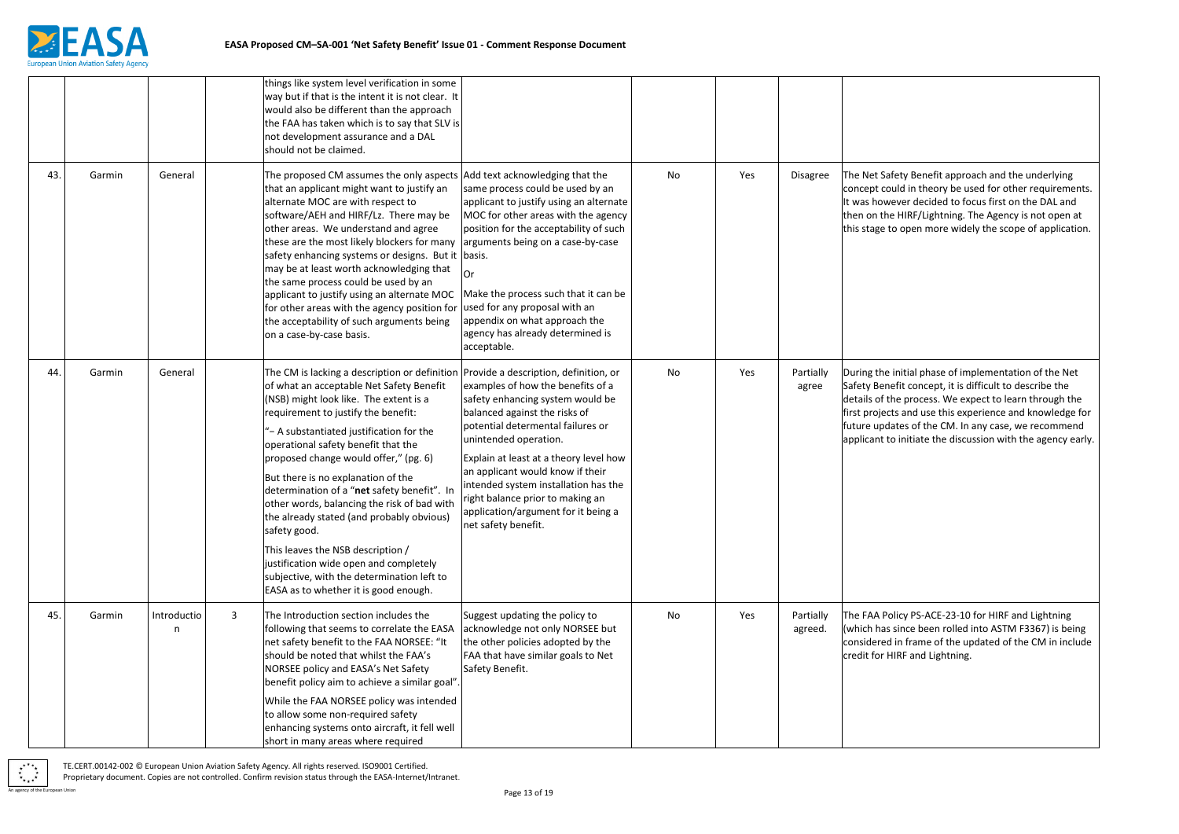

Ifety Benefit approach and the underlying ould in theory be used for other requirements. ever decided to focus first on the DAL and HIRF/Lightning. The Agency is not open at to open more widely the scope of application.

initial phase of implementation of the Net efit concept, it is difficult to describe the he process. We expect to learn through the tts and use this experience and knowledge for ates of the CM. In any case, we recommend o initiate the discussion with the agency early.

olicy PS-ACE-23-10 for HIRF and Lightning (since been rolled into ASTM F3367) is being d in frame of the updated of the CM in include HIRF and Lightning.

|     |        |                  |              | things like system level verification in some<br>way but if that is the intent it is not clear. It<br>would also be different than the approach<br>the FAA has taken which is to say that SLV is<br>not development assurance and a DAL<br>should not be claimed.                                                                                                                                                                                                                                                                                                                                                                                                                                                  |                                                                                                                                                                                                                                                                                                                                                                                              |    |     |                      |                                                                                            |
|-----|--------|------------------|--------------|--------------------------------------------------------------------------------------------------------------------------------------------------------------------------------------------------------------------------------------------------------------------------------------------------------------------------------------------------------------------------------------------------------------------------------------------------------------------------------------------------------------------------------------------------------------------------------------------------------------------------------------------------------------------------------------------------------------------|----------------------------------------------------------------------------------------------------------------------------------------------------------------------------------------------------------------------------------------------------------------------------------------------------------------------------------------------------------------------------------------------|----|-----|----------------------|--------------------------------------------------------------------------------------------|
| 43. | Garmin | General          |              | The proposed CM assumes the only aspects   Add text acknowledging that the<br>that an applicant might want to justify an<br>alternate MOC are with respect to<br>software/AEH and HIRF/Lz. There may be<br>other areas. We understand and agree<br>these are the most likely blockers for many<br>safety enhancing systems or designs. But it basis.<br>may be at least worth acknowledging that<br>the same process could be used by an<br>applicant to justify using an alternate MOC<br>for other areas with the agency position for<br>the acceptability of such arguments being<br>on a case-by-case basis.                                                                                                   | same process could be used by an<br>applicant to justify using an alternate<br>MOC for other areas with the agency<br>position for the acceptability of such<br>arguments being on a case-by-case<br>Or<br>Make the process such that it can be<br>used for any proposal with an<br>appendix on what approach the<br>agency has already determined is<br>acceptable.                         | No | Yes | <b>Disagree</b>      | The Net Saf<br>concept cor<br>It was howe<br>then on the<br>this stage to                  |
| 44. | Garmin | General          |              | The CM is lacking a description or definition Provide a description, definition, or<br>of what an acceptable Net Safety Benefit<br>(NSB) might look like. The extent is a<br>requirement to justify the benefit:<br>- A substantiated justification for the<br>operational safety benefit that the<br>proposed change would offer," (pg. 6)<br>But there is no explanation of the<br>determination of a "net safety benefit". In<br>other words, balancing the risk of bad with<br>the already stated (and probably obvious)<br>safety good.<br>This leaves the NSB description /<br>justification wide open and completely<br>subjective, with the determination left to<br>EASA as to whether it is good enough. | examples of how the benefits of a<br>safety enhancing system would be<br>balanced against the risks of<br>potential determental failures or<br>unintended operation.<br>Explain at least at a theory level how<br>an applicant would know if their<br>intended system installation has the<br>right balance prior to making an<br>application/argument for it being a<br>net safety benefit. | No | Yes | Partially<br>agree   | During the<br>Safety Bene<br>details of th<br>first project<br>future upda<br>applicant to |
| 45. | Garmin | Introductio<br>n | $\mathbf{3}$ | The Introduction section includes the<br>following that seems to correlate the EASA<br>net safety benefit to the FAA NORSEE: "It<br>should be noted that whilst the FAA's<br>NORSEE policy and EASA's Net Safety<br>benefit policy aim to achieve a similar goal".<br>While the FAA NORSEE policy was intended<br>to allow some non-required safety<br>enhancing systems onto aircraft, it fell well<br>short in many areas where required                                                                                                                                                                                                                                                                         | Suggest updating the policy to<br>acknowledge not only NORSEE but<br>the other policies adopted by the<br>FAA that have similar goals to Net<br>Safety Benefit.                                                                                                                                                                                                                              | No | Yes | Partially<br>agreed. | The FAA Po<br>(which has<br>considered<br>credit for H                                     |

 $*_{\star\star\star}$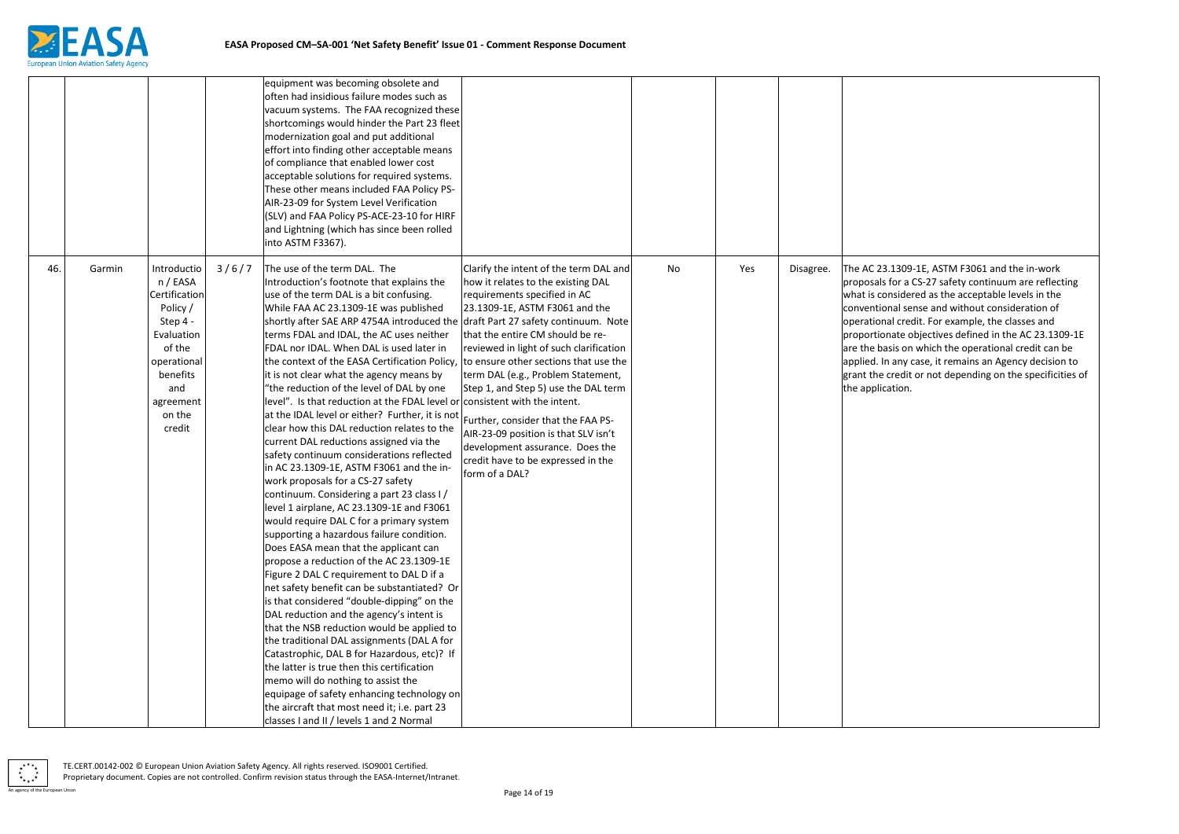

1309-1E, ASTM F3061 and the in-work or a CS-27 safety continuum are reflecting sidered as the acceptable levels in the al sense and without consideration of credit. For example, the classes and ate objectives defined in the AC 23.1309-1E is on which the operational credit can be any case, it remains an Agency decision to edit or not depending on the specificities of tion.

|     |        |                                                                                                                                                             |       | equipment was becoming obsolete and<br>often had insidious failure modes such as<br>vacuum systems. The FAA recognized these<br>shortcomings would hinder the Part 23 fleet<br>modernization goal and put additional<br>effort into finding other acceptable means<br>of compliance that enabled lower cost<br>acceptable solutions for required systems.<br>These other means included FAA Policy PS-<br>AIR-23-09 for System Level Verification<br>(SLV) and FAA Policy PS-ACE-23-10 for HIRF<br>and Lightning (which has since been rolled<br>into ASTM F3367).                                                                                                                                                                                                                                                                                                                                                                                                                                                                                                                                                                                                                                                                                                                                                                                                                                                                                                                                                                                                                                                                                                                |                                                                                                                                                                                                                                                                                                                                                                                                                                                                                                                               |    |     |           |                                                                                                                                                           |
|-----|--------|-------------------------------------------------------------------------------------------------------------------------------------------------------------|-------|-----------------------------------------------------------------------------------------------------------------------------------------------------------------------------------------------------------------------------------------------------------------------------------------------------------------------------------------------------------------------------------------------------------------------------------------------------------------------------------------------------------------------------------------------------------------------------------------------------------------------------------------------------------------------------------------------------------------------------------------------------------------------------------------------------------------------------------------------------------------------------------------------------------------------------------------------------------------------------------------------------------------------------------------------------------------------------------------------------------------------------------------------------------------------------------------------------------------------------------------------------------------------------------------------------------------------------------------------------------------------------------------------------------------------------------------------------------------------------------------------------------------------------------------------------------------------------------------------------------------------------------------------------------------------------------|-------------------------------------------------------------------------------------------------------------------------------------------------------------------------------------------------------------------------------------------------------------------------------------------------------------------------------------------------------------------------------------------------------------------------------------------------------------------------------------------------------------------------------|----|-----|-----------|-----------------------------------------------------------------------------------------------------------------------------------------------------------|
| 46. | Garmin | Introductio<br>n / EASA<br>Certification<br>Policy /<br>Step 4 -<br>Evaluation<br>of the<br>operational<br>benefits<br>and<br>agreement<br>on the<br>credit | 3/6/7 | The use of the term DAL. The<br>Introduction's footnote that explains the<br>use of the term DAL is a bit confusing.<br>While FAA AC 23.1309-1E was published<br>shortly after SAE ARP 4754A introduced the draft Part 27 safety continuum. Note<br>terms FDAL and IDAL, the AC uses neither<br>FDAL nor IDAL. When DAL is used later in<br>the context of the EASA Certification Policy,<br>it is not clear what the agency means by<br>"the reduction of the level of DAL by one<br>level". Is that reduction at the FDAL level or consistent with the intent.<br>at the IDAL level or either? Further, it is not<br>clear how this DAL reduction relates to the<br>current DAL reductions assigned via the<br>safety continuum considerations reflected<br>in AC 23.1309-1E, ASTM F3061 and the in-<br>work proposals for a CS-27 safety<br>continuum. Considering a part 23 class I/<br>level 1 airplane, AC 23.1309-1E and F3061<br>would require DAL C for a primary system<br>supporting a hazardous failure condition.<br>Does EASA mean that the applicant can<br>propose a reduction of the AC 23.1309-1E<br>Figure 2 DAL C requirement to DAL D if a<br>net safety benefit can be substantiated? Or<br>is that considered "double-dipping" on the<br>DAL reduction and the agency's intent is<br>that the NSB reduction would be applied to<br>the traditional DAL assignments (DAL A for<br>Catastrophic, DAL B for Hazardous, etc)? If<br>the latter is true then this certification<br>memo will do nothing to assist the<br>equipage of safety enhancing technology on<br>the aircraft that most need it; i.e. part 23<br>classes I and II / levels 1 and 2 Normal | Clarify the intent of the term DAL and<br>how it relates to the existing DAL<br>requirements specified in AC<br>23.1309-1E, ASTM F3061 and the<br>that the entire CM should be re-<br>reviewed in light of such clarification<br>to ensure other sections that use the<br>term DAL (e.g., Problem Statement,<br>Step 1, and Step 5) use the DAL term<br>Further, consider that the FAA PS-<br>AIR-23-09 position is that SLV isn't<br>development assurance. Does the<br>credit have to be expressed in the<br>form of a DAL? | No | Yes | Disagree. | The AC 23.1<br>proposals fo<br>what is cons<br>conventiona<br>operational<br>proportiona<br>are the basi<br>applied. In a<br>grant the cr<br>the applicat |

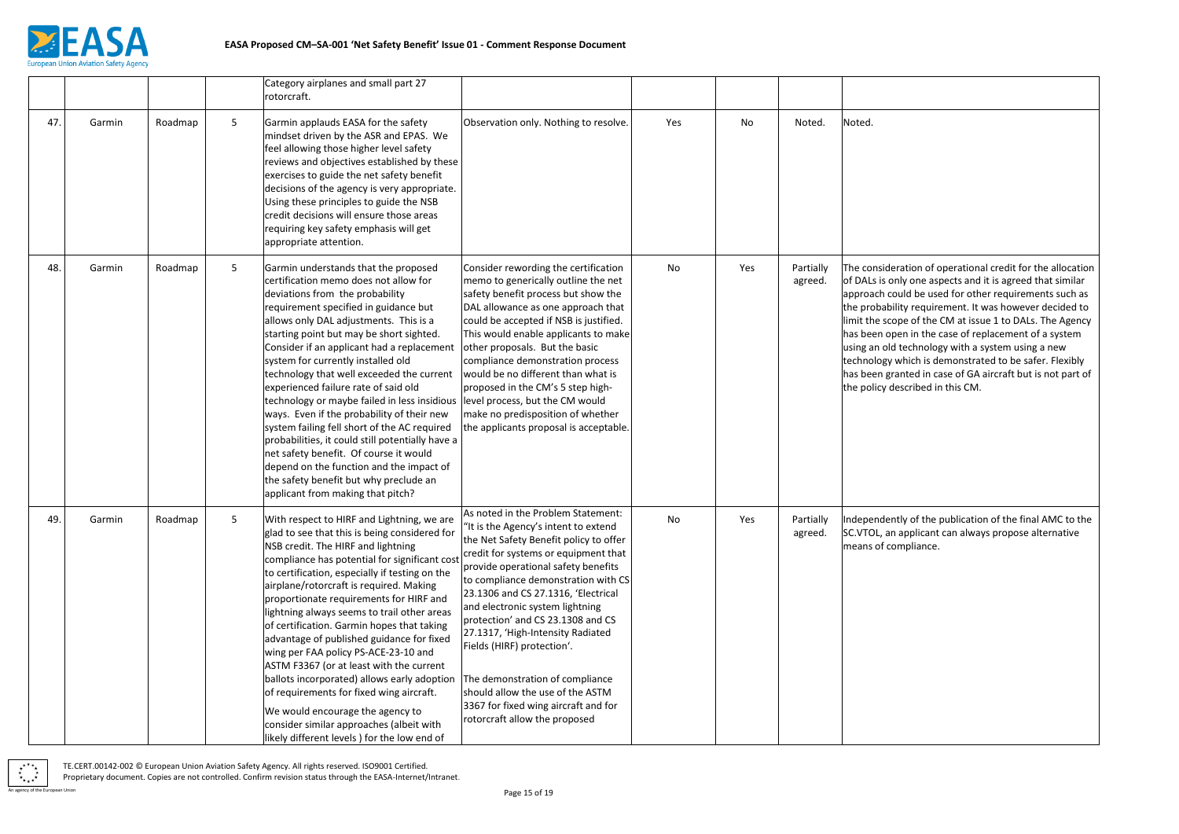

deration of operational credit for the allocation only one aspects and it is agreed that similar could be used for other requirements such as bility requirement. It was however decided to cope of the CM at issue 1 to DALs. The Agency open in the case of replacement of a system Id technology with a system using a new  $\gamma$  which is demonstrated to be safer. Flexibly granted in case of GA aircraft but is not part of described in this CM.

ently of the publication of the final AMC to the an applicant can always propose alternative compliance.

|     |        |         |   | Category airplanes and small part 27<br>rotorcraft.                                                                                                                                                                                                                                                                                                                                                                                                                                                                                                                                                                                                                                                                                                                                             |                                                                                                                                                                                                                                                                                                                                                                                                                                                                                                                                                                              |     |     |                      |                                                                                                                                             |
|-----|--------|---------|---|-------------------------------------------------------------------------------------------------------------------------------------------------------------------------------------------------------------------------------------------------------------------------------------------------------------------------------------------------------------------------------------------------------------------------------------------------------------------------------------------------------------------------------------------------------------------------------------------------------------------------------------------------------------------------------------------------------------------------------------------------------------------------------------------------|------------------------------------------------------------------------------------------------------------------------------------------------------------------------------------------------------------------------------------------------------------------------------------------------------------------------------------------------------------------------------------------------------------------------------------------------------------------------------------------------------------------------------------------------------------------------------|-----|-----|----------------------|---------------------------------------------------------------------------------------------------------------------------------------------|
| 47. | Garmin | Roadmap | 5 | Garmin applauds EASA for the safety<br>mindset driven by the ASR and EPAS. We<br>feel allowing those higher level safety<br>reviews and objectives established by these<br>exercises to guide the net safety benefit<br>decisions of the agency is very appropriate.<br>Using these principles to guide the NSB<br>credit decisions will ensure those areas<br>requiring key safety emphasis will get<br>appropriate attention.                                                                                                                                                                                                                                                                                                                                                                 | Observation only. Nothing to resolve.                                                                                                                                                                                                                                                                                                                                                                                                                                                                                                                                        | Yes | No  | Noted.               | Noted.                                                                                                                                      |
| 48. | Garmin | Roadmap | 5 | Garmin understands that the proposed<br>certification memo does not allow for<br>deviations from the probability<br>requirement specified in guidance but<br>allows only DAL adjustments. This is a<br>starting point but may be short sighted.<br>Consider if an applicant had a replacement<br>system for currently installed old<br>technology that well exceeded the current<br>experienced failure rate of said old<br>technology or maybe failed in less insidious<br>ways. Even if the probability of their new<br>system failing fell short of the AC required<br>probabilities, it could still potentially have a<br>net safety benefit. Of course it would<br>depend on the function and the impact of<br>the safety benefit but why preclude an<br>applicant from making that pitch? | Consider rewording the certification<br>memo to generically outline the net<br>safety benefit process but show the<br>DAL allowance as one approach that<br>could be accepted if NSB is justified.<br>This would enable applicants to make<br>other proposals. But the basic<br>compliance demonstration process<br>would be no different than what is<br>proposed in the CM's 5 step high-<br>level process, but the CM would<br>make no predisposition of whether<br>the applicants proposal is acceptable.                                                                | No  | Yes | Partially<br>agreed. | The consid<br>of DALs is<br>approach o<br>the probal<br>limit the so<br>has been o<br>using an ol<br>technology<br>has been g<br>the policy |
| 49. | Garmin | Roadmap |   | With respect to HIRF and Lightning, we are<br>glad to see that this is being considered for<br>NSB credit. The HIRF and lightning<br>compliance has potential for significant cost<br>to certification, especially if testing on the<br>airplane/rotorcraft is required. Making<br>proportionate requirements for HIRF and<br>lightning always seems to trail other areas<br>of certification. Garmin hopes that taking<br>advantage of published guidance for fixed<br>wing per FAA policy PS-ACE-23-10 and<br>ASTM F3367 (or at least with the current<br>ballots incorporated) allows early adoption<br>of requirements for fixed wing aircraft.<br>We would encourage the agency to<br>consider similar approaches (albeit with<br>likely different levels) for the low end of              | As noted in the Problem Statement:<br>"It is the Agency's intent to extend<br>the Net Safety Benefit policy to offer<br>credit for systems or equipment that<br>provide operational safety benefits<br>to compliance demonstration with CS<br>23.1306 and CS 27.1316, 'Electrical<br>and electronic system lightning<br>protection' and CS 23.1308 and CS<br>27.1317, 'High-Intensity Radiated<br>Fields (HIRF) protection'.<br>The demonstration of compliance<br>should allow the use of the ASTM<br>3367 for fixed wing aircraft and for<br>rotorcraft allow the proposed | No  | Yes | Partially<br>agreed. | Independe<br>SC.VTOL, a<br>means of c                                                                                                       |

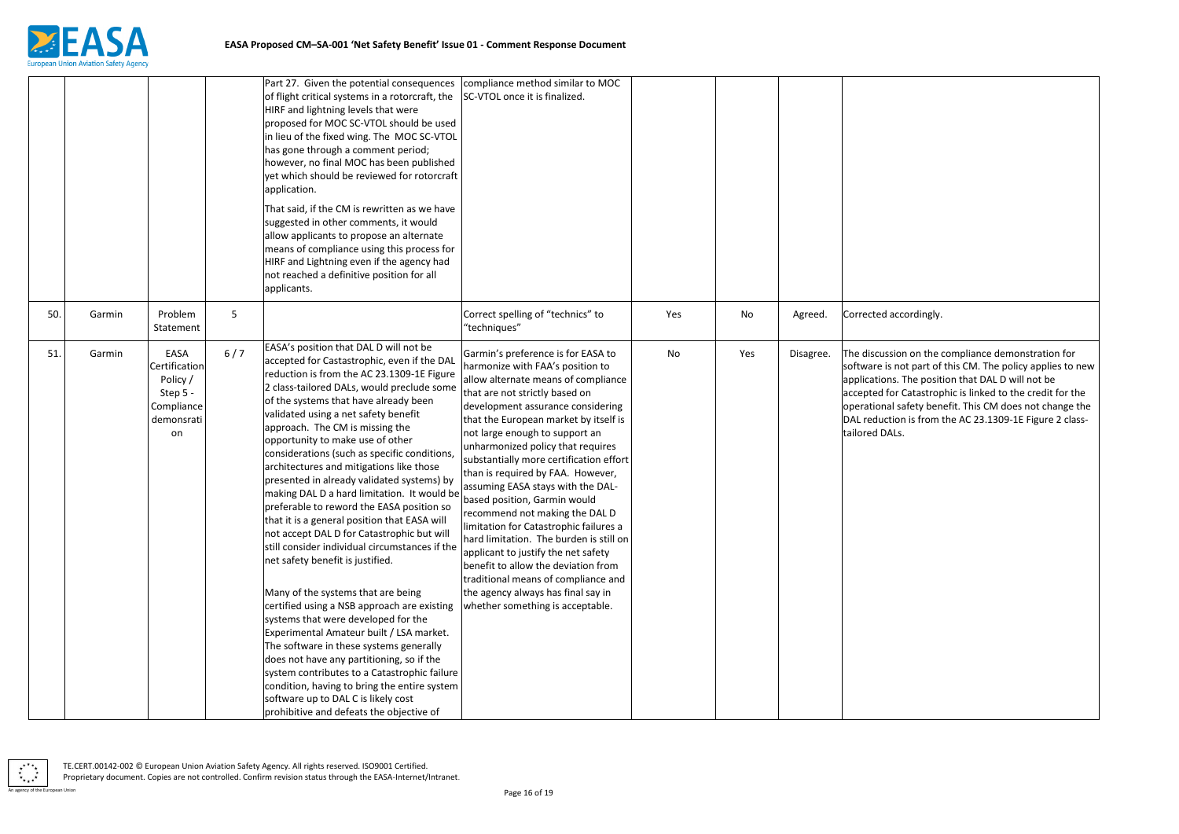

ccordingly.

ion on the compliance demonstration for not part of this CM. The policy applies to new s. The position that DAL D will not be r Catastrophic is linked to the credit for the safety benefit. This CM does not change the ion is from the AC 23.1309-1E Figure 2 class-Ls.

|     |        |                                                                                 |       | Part 27. Given the potential consequences<br>of flight critical systems in a rotorcraft, the<br>HIRF and lightning levels that were<br>proposed for MOC SC-VTOL should be used<br>in lieu of the fixed wing. The MOC SC-VTOL<br>has gone through a comment period;<br>however, no final MOC has been published<br>yet which should be reviewed for rotorcraft<br>application.<br>That said, if the CM is rewritten as we have<br>suggested in other comments, it would<br>allow applicants to propose an alternate<br>means of compliance using this process for<br>HIRF and Lightning even if the agency had<br>not reached a definitive position for all<br>applicants.                                                                                                                                                                                                                                                                                                                                                                                                                                                                                                                                              | compliance method similar to MOC<br>SC-VTOL once it is finalized.                                                                                                                                                                                                                                                                                                                                                                                                                                                                                                                                                                                                                                                                                                               |     |     |           |                                                                                                          |
|-----|--------|---------------------------------------------------------------------------------|-------|------------------------------------------------------------------------------------------------------------------------------------------------------------------------------------------------------------------------------------------------------------------------------------------------------------------------------------------------------------------------------------------------------------------------------------------------------------------------------------------------------------------------------------------------------------------------------------------------------------------------------------------------------------------------------------------------------------------------------------------------------------------------------------------------------------------------------------------------------------------------------------------------------------------------------------------------------------------------------------------------------------------------------------------------------------------------------------------------------------------------------------------------------------------------------------------------------------------------|---------------------------------------------------------------------------------------------------------------------------------------------------------------------------------------------------------------------------------------------------------------------------------------------------------------------------------------------------------------------------------------------------------------------------------------------------------------------------------------------------------------------------------------------------------------------------------------------------------------------------------------------------------------------------------------------------------------------------------------------------------------------------------|-----|-----|-----------|----------------------------------------------------------------------------------------------------------|
| 50. | Garmin | Problem<br>Statement                                                            | 5     |                                                                                                                                                                                                                                                                                                                                                                                                                                                                                                                                                                                                                                                                                                                                                                                                                                                                                                                                                                                                                                                                                                                                                                                                                        | Correct spelling of "technics" to<br>"techniques"                                                                                                                                                                                                                                                                                                                                                                                                                                                                                                                                                                                                                                                                                                                               | Yes | No  | Agreed.   | Corrected a                                                                                              |
| 51. | Garmin | EASA<br>Certification<br>Policy /<br>Step 5 -<br>Compliance<br>demonsrati<br>on | $6/7$ | EASA's position that DAL D will not be<br>accepted for Castastrophic, even if the DAL<br>reduction is from the AC 23.1309-1E Figure<br>2 class-tailored DALs, would preclude some<br>of the systems that have already been<br>validated using a net safety benefit<br>approach. The CM is missing the<br>opportunity to make use of other<br>considerations (such as specific conditions,<br>architectures and mitigations like those<br>presented in already validated systems) by<br>making DAL D a hard limitation. It would be<br>preferable to reword the EASA position so<br>that it is a general position that EASA will<br>not accept DAL D for Catastrophic but will<br>still consider individual circumstances if the<br>net safety benefit is justified.<br>Many of the systems that are being<br>certified using a NSB approach are existing<br>systems that were developed for the<br>Experimental Amateur built / LSA market.<br>The software in these systems generally<br>does not have any partitioning, so if the<br>system contributes to a Catastrophic failure<br>condition, having to bring the entire system<br>software up to DAL C is likely cost<br>prohibitive and defeats the objective of | Garmin's preference is for EASA to<br>harmonize with FAA's position to<br>allow alternate means of compliance<br>that are not strictly based on<br>development assurance considering<br>that the European market by itself is<br>not large enough to support an<br>unharmonized policy that requires<br>substantially more certification effort<br>than is required by FAA. However,<br>assuming EASA stays with the DAL-<br>based position, Garmin would<br>recommend not making the DAL D<br>limitation for Catastrophic failures a<br>hard limitation. The burden is still on<br>applicant to justify the net safety<br>benefit to allow the deviation from<br>traditional means of compliance and<br>the agency always has final say in<br>whether something is acceptable. | No  | Yes | Disagree. | The discussi<br>software is<br>applications<br>accepted fo<br>operational<br>DAL reducti<br>tailored DAI |

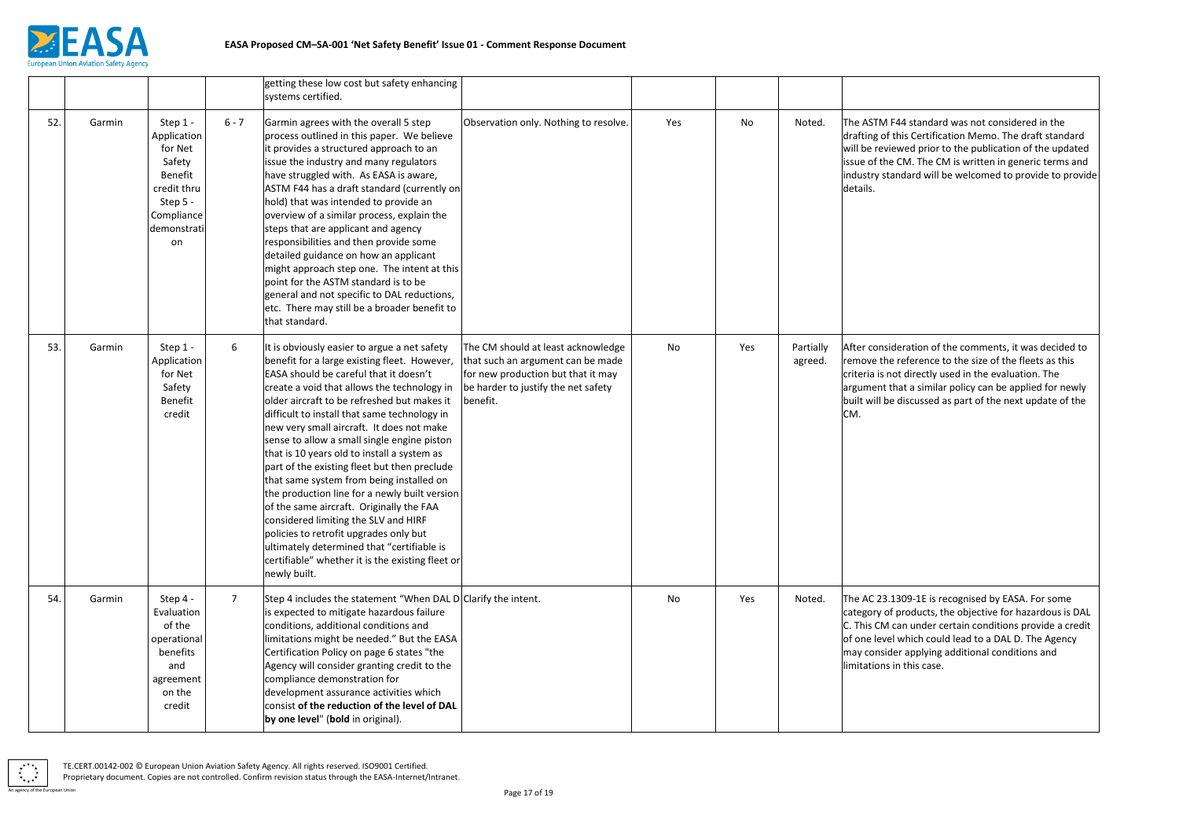

F44 standard was not considered in the this Certification Memo. The draft standard iewed prior to the publication of the updated e CM. The CM is written in generic terms and andard will be welcomed to provide to provide

ideration of the comments, it was decided to e reference to the size of the fleets as this not directly used in the evaluation. The that a similar policy can be applied for newly e discussed as part of the next update of the

1309-1E is recognised by EASA. For some f products, the objective for hazardous is DAL can under certain conditions provide a credit el which could lead to a DAL D. The Agency der applying additional conditions and in this case.

|     |        |                                                                                                                       |                | getting these low cost but safety enhancing<br>systems certified.                                                                                                                                                                                                                                                                                                                                                                                                                                                                                                                                                                                                                                                                                                                                                            |                                                                                                                                                                  |     |     |                      |                                                                                       |
|-----|--------|-----------------------------------------------------------------------------------------------------------------------|----------------|------------------------------------------------------------------------------------------------------------------------------------------------------------------------------------------------------------------------------------------------------------------------------------------------------------------------------------------------------------------------------------------------------------------------------------------------------------------------------------------------------------------------------------------------------------------------------------------------------------------------------------------------------------------------------------------------------------------------------------------------------------------------------------------------------------------------------|------------------------------------------------------------------------------------------------------------------------------------------------------------------|-----|-----|----------------------|---------------------------------------------------------------------------------------|
| 52. | Garmin | Step 1 -<br>Application<br>for Net<br>Safety<br>Benefit<br>credit thru<br>Step 5 -<br>Compliance<br>demonstrati<br>on | $6 - 7$        | Garmin agrees with the overall 5 step<br>process outlined in this paper. We believe<br>it provides a structured approach to an<br>issue the industry and many regulators<br>have struggled with. As EASA is aware,<br>ASTM F44 has a draft standard (currently on<br>hold) that was intended to provide an<br>overview of a similar process, explain the<br>steps that are applicant and agency<br>responsibilities and then provide some<br>detailed guidance on how an applicant<br>might approach step one. The intent at this<br>point for the ASTM standard is to be<br>general and not specific to DAL reductions,<br>etc. There may still be a broader benefit to<br>that standard.                                                                                                                                   | Observation only. Nothing to resolve.                                                                                                                            | Yes | No  | Noted.               | The ASTM I<br>drafting of<br>will be revi<br>issue of the<br>industry sta<br>details. |
| 53. | Garmin | Step 1 -<br>Application<br>for Net<br>Safety<br>Benefit<br>credit                                                     | 6              | It is obviously easier to argue a net safety<br>benefit for a large existing fleet. However,<br>EASA should be careful that it doesn't<br>create a void that allows the technology in<br>older aircraft to be refreshed but makes it<br>difficult to install that same technology in<br>new very small aircraft. It does not make<br>sense to allow a small single engine piston<br>that is 10 years old to install a system as<br>part of the existing fleet but then preclude<br>that same system from being installed on<br>the production line for a newly built version<br>of the same aircraft. Originally the FAA<br>considered limiting the SLV and HIRF<br>policies to retrofit upgrades only but<br>ultimately determined that "certifiable is<br>certifiable" whether it is the existing fleet or<br>newly built. | The CM should at least acknowledge<br>that such an argument can be made<br>for new production but that it may<br>be harder to justify the net safety<br>benefit. | No  | Yes | Partially<br>agreed. | After consi<br>remove the<br>criteria is n<br>argument t<br>built will be<br>CM.      |
| 54. | Garmin | Step 4 -<br>Evaluation<br>of the<br>operational<br>benefits<br>and<br>agreement<br>on the<br>credit                   | $\overline{7}$ | Step 4 includes the statement "When DAL D Clarify the intent.<br>is expected to mitigate hazardous failure<br>conditions, additional conditions and<br>limitations might be needed." But the EASA<br>Certification Policy on page 6 states "the<br>Agency will consider granting credit to the<br>compliance demonstration for<br>development assurance activities which<br>consist of the reduction of the level of DAL<br>by one level" (bold in original).                                                                                                                                                                                                                                                                                                                                                                |                                                                                                                                                                  | No  | Yes | Noted.               | The AC 23.<br>category of<br>C. This CM<br>of one leve<br>may consid<br>limitations   |

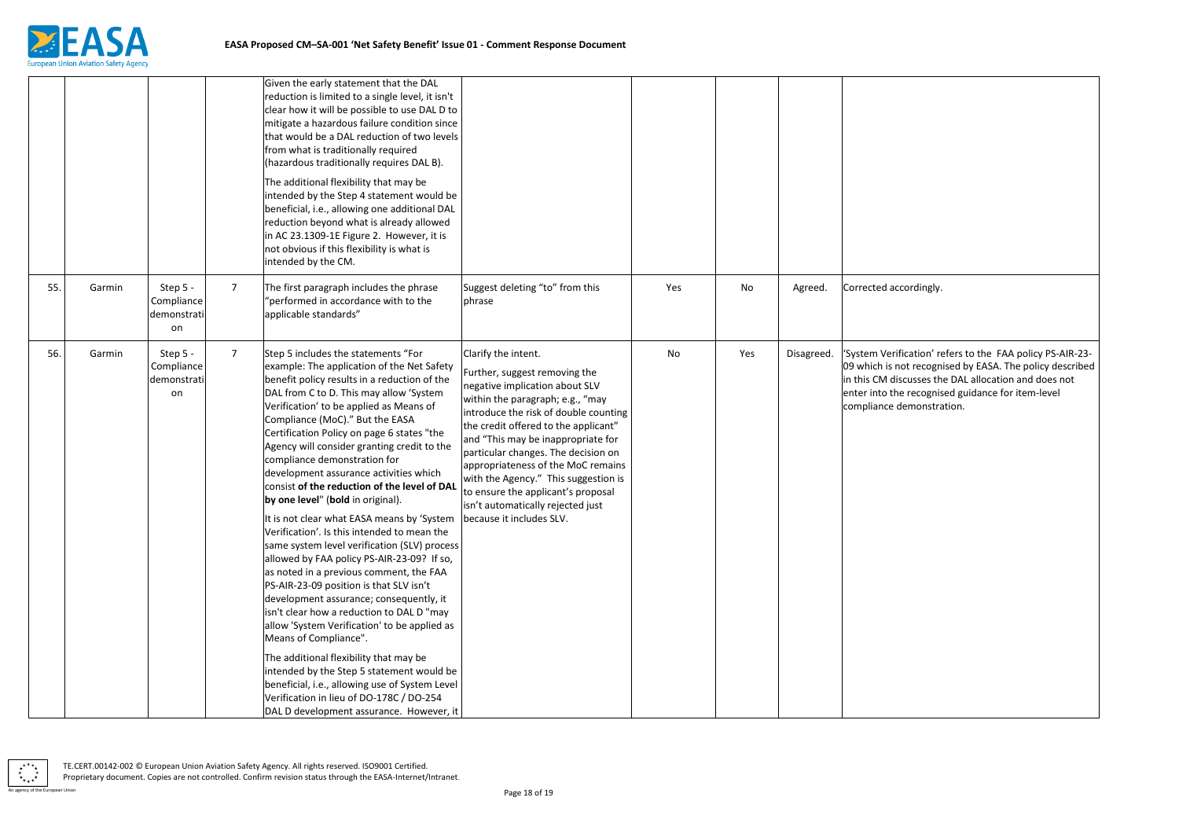

ccordingly.

ification' refers to the FAA policy PS-AIR-23not recognised by EASA. The policy described liscusses the DAL allocation and does not he recognised guidance for item-level demonstration.

|     |        |                                             |                | Given the early statement that the DAL<br>reduction is limited to a single level, it isn't<br>clear how it will be possible to use DAL D to<br>mitigate a hazardous failure condition since<br>that would be a DAL reduction of two levels<br>from what is traditionally required<br>(hazardous traditionally requires DAL B).                                                                                                                                                                                                                                                                                                                                                                                                                                                                                                                                                                                                                                                                      |                                                                                                                                                                                                                                                                                                                                                                                                                                                   |     |     |            |                                                                           |
|-----|--------|---------------------------------------------|----------------|-----------------------------------------------------------------------------------------------------------------------------------------------------------------------------------------------------------------------------------------------------------------------------------------------------------------------------------------------------------------------------------------------------------------------------------------------------------------------------------------------------------------------------------------------------------------------------------------------------------------------------------------------------------------------------------------------------------------------------------------------------------------------------------------------------------------------------------------------------------------------------------------------------------------------------------------------------------------------------------------------------|---------------------------------------------------------------------------------------------------------------------------------------------------------------------------------------------------------------------------------------------------------------------------------------------------------------------------------------------------------------------------------------------------------------------------------------------------|-----|-----|------------|---------------------------------------------------------------------------|
|     |        |                                             |                | The additional flexibility that may be<br>intended by the Step 4 statement would be<br>beneficial, i.e., allowing one additional DAL<br>reduction beyond what is already allowed<br>in AC 23.1309-1E Figure 2. However, it is<br>not obvious if this flexibility is what is<br>intended by the CM.                                                                                                                                                                                                                                                                                                                                                                                                                                                                                                                                                                                                                                                                                                  |                                                                                                                                                                                                                                                                                                                                                                                                                                                   |     |     |            |                                                                           |
| 55. | Garmin | Step 5 -<br>Compliance<br>demonstrati<br>on | $\overline{7}$ | The first paragraph includes the phrase<br>'performed in accordance with to the<br>applicable standards"                                                                                                                                                                                                                                                                                                                                                                                                                                                                                                                                                                                                                                                                                                                                                                                                                                                                                            | Suggest deleting "to" from this<br>phrase                                                                                                                                                                                                                                                                                                                                                                                                         | Yes | No  | Agreed.    | Corrected a                                                               |
| 56. | Garmin | Step 5 -<br>Compliance<br>demonstrati<br>on | $\overline{7}$ | Step 5 includes the statements "For<br>example: The application of the Net Safety<br>benefit policy results in a reduction of the<br>DAL from C to D. This may allow 'System<br>Verification' to be applied as Means of<br>Compliance (MoC)." But the EASA<br>Certification Policy on page 6 states "the<br>Agency will consider granting credit to the<br>compliance demonstration for<br>development assurance activities which<br>consist of the reduction of the level of DAL<br>by one level" (bold in original).<br>It is not clear what EASA means by 'System   because it includes SLV.<br>Verification'. Is this intended to mean the<br>same system level verification (SLV) process<br>allowed by FAA policy PS-AIR-23-09? If so,<br>as noted in a previous comment, the FAA<br>PS-AIR-23-09 position is that SLV isn't<br>development assurance; consequently, it<br>isn't clear how a reduction to DAL D "may<br>allow 'System Verification' to be applied as<br>Means of Compliance". | Clarify the intent.<br>Further, suggest removing the<br>negative implication about SLV<br>within the paragraph; e.g., "may<br>introduce the risk of double counting<br>the credit offered to the applicant"<br>and "This may be inappropriate for<br>particular changes. The decision on<br>appropriateness of the MoC remains<br>with the Agency." This suggestion is<br>to ensure the applicant's proposal<br>isn't automatically rejected just | No  | Yes | Disagreed. | 'System Ver<br>09 which is<br>in this CM d<br>enter into tl<br>compliance |
|     |        |                                             |                | The additional flexibility that may be<br>intended by the Step 5 statement would be<br>beneficial, i.e., allowing use of System Level<br>Verification in lieu of DO-178C / DO-254<br>DAL D development assurance. However, it                                                                                                                                                                                                                                                                                                                                                                                                                                                                                                                                                                                                                                                                                                                                                                       |                                                                                                                                                                                                                                                                                                                                                                                                                                                   |     |     |            |                                                                           |